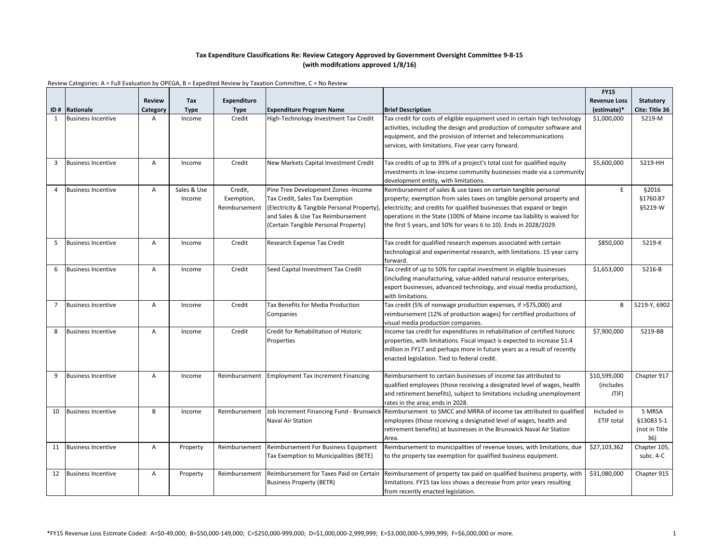|    |                           |                |                       |                                        |                                                                                                                                                                                                   |                                                                                                                                                                                                                                                                                                                                                                       | <b>FY15</b>                                |                                              |
|----|---------------------------|----------------|-----------------------|----------------------------------------|---------------------------------------------------------------------------------------------------------------------------------------------------------------------------------------------------|-----------------------------------------------------------------------------------------------------------------------------------------------------------------------------------------------------------------------------------------------------------------------------------------------------------------------------------------------------------------------|--------------------------------------------|----------------------------------------------|
|    |                           | <b>Review</b>  | Tax                   | Expenditure                            |                                                                                                                                                                                                   |                                                                                                                                                                                                                                                                                                                                                                       | <b>Revenue Loss</b>                        | <b>Statutory</b>                             |
|    | ID# Rationale             | Category       | <b>Type</b>           | <b>Type</b>                            | <b>Expenditure Program Name</b>                                                                                                                                                                   | <b>Brief Description</b>                                                                                                                                                                                                                                                                                                                                              | (estimate)*                                | Cite: Title 36                               |
| 1  | <b>Business Incentive</b> | A              | Income                | Credit                                 | High-Technology Investment Tax Credit                                                                                                                                                             | Tax credit for costs of eligible equipment used in certain high technology<br>activities, including the design and production of computer software and<br>equipment, and the provision of Internet and telecommunications<br>services, with limitations. Five year carry forward.                                                                                     | \$1,000,000                                | 5219-M                                       |
| 3  | <b>Business Incentive</b> | Α              | Income                | Credit                                 | New Markets Capital Investment Credit                                                                                                                                                             | Tax credits of up to 39% of a project's total cost for qualified equity<br>investments in low-income community businesses made via a community<br>development entity, with limitations.                                                                                                                                                                               | \$5,600,000                                | 5219-HH                                      |
| 4  | <b>Business Incentive</b> | A              | Sales & Use<br>Income | Credit,<br>Exemption,<br>Reimbursement | Pine Tree Development Zones -Income<br>Tax Credit, Sales Tax Exemption<br>(Electricity & Tangible Personal Property),<br>and Sales & Use Tax Reimbursement<br>Certain Tangible Personal Property) | Reimbursement of sales & use taxes on certain tangible personal<br>property; exemption from sales taxes on tangible personal property and<br>electricity; and credits for qualified businesses that expand or begin<br>operations in the State (100% of Maine income tax liability is waived for<br>the first 5 years, and 50% for years 6 to 10). Ends in 2028/2029. | E                                          | §2016<br>§1760.87<br>§5219-W                 |
| 5  | <b>Business Incentive</b> | A              | Income                | Credit                                 | Research Expense Tax Credit                                                                                                                                                                       | Tax credit for qualified research expenses associated with certain<br>technological and experimental research, with limitations. 15 year carry<br>forward.                                                                                                                                                                                                            | \$850,000                                  | 5219-K                                       |
| 6  | <b>Business Incentive</b> | $\overline{A}$ | Income                | Credit                                 | Seed Capital Investment Tax Credit                                                                                                                                                                | Tax credit of up to 50% for capital investment in eligible businesses<br>(including manufacturing, value-added natural resource enterprises,<br>export businesses, advanced technology, and visual media production),<br>with limitations.                                                                                                                            | \$1,653,000                                | 5216-B                                       |
| 7  | <b>Business Incentive</b> | $\overline{A}$ | Income                | Credit                                 | Tax Benefits for Media Production<br>Companies                                                                                                                                                    | Tax credit (5% of nonwage production expenses, if >\$75,000) and<br>reimbursement (12% of production wages) for certified productions of<br>visual media production companies.                                                                                                                                                                                        | B                                          | 5219-Y, 6902                                 |
| 8  | <b>Business Incentive</b> | $\overline{A}$ | Income                | Credit                                 | Credit for Rehabilitation of Historic<br>Properties                                                                                                                                               | Income tax credit for expenditures in rehabilitation of certified historic<br>properties, with limitations. Fiscal impact is expected to increase \$1.4<br>million in FY17 and perhaps more in future years as a result of recently<br>enacted legislation. Tied to federal credit.                                                                                   | \$7,900,000                                | 5219-BB                                      |
| 9  | <b>Business Incentive</b> | $\overline{A}$ | Income                |                                        | Reimbursement Employment Tax Increment Financing                                                                                                                                                  | Reimbursement to certain businesses of income tax attributed to<br>qualified employees (those receiving a designated level of wages, health<br>and retirement benefits), subject to limitations including unemployment<br>rates in the area; ends in 2028.                                                                                                            | \$10,599,000<br><i>(includes)</i><br>JTIF) | Chapter 917                                  |
| 10 | <b>Business Incentive</b> | B              | Income                | Reimbursement                          | Job Increment Financing Fund - Brunswick<br>Naval Air Station                                                                                                                                     | Reimbursement to SMCC and MRRA of income tax attributed to qualified<br>employees (those receiving a designated level of wages, health and<br>retirement benefits) at businesses in the Brunswick Naval Air Station<br>Area.                                                                                                                                          | Included in<br><b>ETIF total</b>           | 5 MRSA<br>§13083 S-1<br>(not in Title<br>36) |
| 11 | <b>Business Incentive</b> | Α              | Property              | Reimbursement                          | Reimbursement For Business Equipment<br>Tax Exemption to Municipalities (BETE)                                                                                                                    | Reimbursement to municipalities of revenue losses, with limitations, due<br>to the property tax exemption for qualified business equipment.                                                                                                                                                                                                                           | \$27,103,362                               | Chapter 105,<br>subc. 4-C                    |
| 12 | <b>Business Incentive</b> | A              | Property              | Reimbursement                          | Reimbursement for Taxes Paid on Certain<br><b>Business Property (BETR)</b>                                                                                                                        | Reimbursement of property tax paid on qualified business property, with<br>limitations. FY15 tax loss shows a decrease from prior years resulting<br>from recently enacted legislation.                                                                                                                                                                               | \$31,080,000                               | Chapter 915                                  |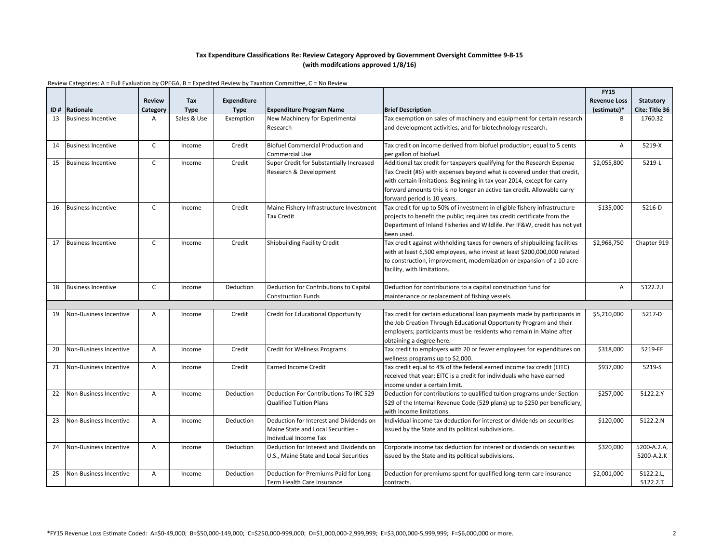|    |                               |                |             |                    |                                                                     |                                                                                                                  | <b>FY15</b>         |                  |
|----|-------------------------------|----------------|-------------|--------------------|---------------------------------------------------------------------|------------------------------------------------------------------------------------------------------------------|---------------------|------------------|
|    |                               | <b>Review</b>  | Tax         | <b>Expenditure</b> |                                                                     |                                                                                                                  | <b>Revenue Loss</b> | <b>Statutory</b> |
|    | <b>ID# Rationale</b>          | Category       | <b>Type</b> | <b>Type</b>        | <b>Expenditure Program Name</b>                                     | <b>Brief Description</b>                                                                                         | (estimate)*         | Cite: Title 36   |
| 13 | <b>Business Incentive</b>     | A              | Sales & Use | Exemption          | New Machinery for Experimental                                      | Tax exemption on sales of machinery and equipment for certain research                                           | B                   | 1760.32          |
|    |                               |                |             |                    | Research                                                            | and development activities, and for biotechnology research.                                                      |                     |                  |
|    |                               |                |             |                    |                                                                     |                                                                                                                  |                     |                  |
| 14 | <b>Business Incentive</b>     | $\mathsf{C}$   | Income      | Credit             | Biofuel Commercial Production and                                   | Tax credit on income derived from biofuel production; equal to 5 cents                                           | Α                   | 5219-X           |
|    |                               |                |             |                    | <b>Commercial Use</b>                                               | per gallon of biofuel.                                                                                           |                     |                  |
| 15 | <b>Business Incentive</b>     | C              | Income      | Credit             | Super Credit for Substantially Increased                            | Additional tax credit for taxpayers qualifying for the Research Expense                                          | \$2,055,800         | 5219-L           |
|    |                               |                |             |                    | Research & Development                                              | Tax Credit (#6) with expenses beyond what is covered under that credit,                                          |                     |                  |
|    |                               |                |             |                    |                                                                     | with certain limitations. Beginning in tax year 2014, except for carry                                           |                     |                  |
|    |                               |                |             |                    |                                                                     | forward amounts this is no longer an active tax credit. Allowable carry                                          |                     |                  |
|    |                               |                |             |                    |                                                                     | forward period is 10 years.                                                                                      |                     |                  |
| 16 | <b>Business Incentive</b>     | $\mathsf{C}$   | Income      | Credit             | Maine Fishery Infrastructure Investment                             | Tax credit for up to 50% of investment in eligible fishery infrastructure                                        | \$135,000           | 5216-D           |
|    |                               |                |             |                    | <b>Tax Credit</b>                                                   | projects to benefit the public; requires tax credit certificate from the                                         |                     |                  |
|    |                               |                |             |                    |                                                                     | Department of Inland Fisheries and Wildlife. Per IF&W, credit has not yet                                        |                     |                  |
|    |                               |                |             |                    |                                                                     | been used.                                                                                                       |                     |                  |
| 17 | <b>Business Incentive</b>     | $\mathsf{C}$   | Income      | Credit             | Shipbuilding Facility Credit                                        | Tax credit against withholding taxes for owners of shipbuilding facilities                                       | \$2,968,750         | Chapter 919      |
|    |                               |                |             |                    |                                                                     | with at least 6,500 employees, who invest at least \$200,000,000 related                                         |                     |                  |
|    |                               |                |             |                    |                                                                     | to construction, improvement, modernization or expansion of a 10 acre                                            |                     |                  |
|    |                               |                |             |                    |                                                                     | facility, with limitations.                                                                                      |                     |                  |
|    |                               |                |             |                    |                                                                     |                                                                                                                  |                     |                  |
| 18 | <b>Business Incentive</b>     | $\mathsf{C}$   | Income      | Deduction          | Deduction for Contributions to Capital<br><b>Construction Funds</b> | Deduction for contributions to a capital construction fund for<br>maintenance or replacement of fishing vessels. | A                   | 5122.2.1         |
|    |                               |                |             |                    |                                                                     |                                                                                                                  |                     |                  |
| 19 | Non-Business Incentive        | $\overline{A}$ | Income      | Credit             | <b>Credit for Educational Opportunity</b>                           | Tax credit for certain educational loan payments made by participants in                                         | \$5,210,000         | 5217-D           |
|    |                               |                |             |                    |                                                                     | the Job Creation Through Educational Opportunity Program and their                                               |                     |                  |
|    |                               |                |             |                    |                                                                     | employers; participants must be residents who remain in Maine after                                              |                     |                  |
|    |                               |                |             |                    |                                                                     | obtaining a degree here.                                                                                         |                     |                  |
| 20 | <b>Non-Business Incentive</b> | $\overline{A}$ | Income      | Credit             | <b>Credit for Wellness Programs</b>                                 | Tax credit to employers with 20 or fewer employees for expenditures on                                           | \$318,000           | 5219-FF          |
|    |                               |                |             |                    |                                                                     | wellness programs up to \$2,000.                                                                                 |                     |                  |
| 21 | Non-Business Incentive        | A              | Income      | Credit             | <b>Earned Income Credit</b>                                         | Tax credit equal to 4% of the federal earned income tax credit (EITC)                                            | \$937,000           | 5219-S           |
|    |                               |                |             |                    |                                                                     | received that year; EITC is a credit for individuals who have earned                                             |                     |                  |
|    |                               |                |             |                    |                                                                     | income under a certain limit.                                                                                    |                     |                  |
| 22 | <b>Non-Business Incentive</b> | $\overline{A}$ | Income      | Deduction          | Deduction For Contributions To IRC 529                              | Deduction for contributions to qualified tuition programs under Section                                          | \$257,000           | 5122.2.Y         |
|    |                               |                |             |                    | <b>Qualified Tuition Plans</b>                                      | 529 of the Internal Revenue Code (529 plans) up to \$250 per beneficiary,                                        |                     |                  |
|    |                               |                |             |                    |                                                                     | with income limitations.                                                                                         |                     |                  |
| 23 | Non-Business Incentive        | $\overline{A}$ | Income      | Deduction          | Deduction for Interest and Dividends on                             | Individual income tax deduction for interest or dividends on securities                                          | \$120,000           | 5122.2.N         |
|    |                               |                |             |                    | Maine State and Local Securities -                                  | issued by the State and its political subdivisions.                                                              |                     |                  |
|    |                               |                |             |                    | Individual Income Tax                                               |                                                                                                                  |                     |                  |
| 24 | Non-Business Incentive        | A              | Income      | Deduction          | Deduction for Interest and Dividends on                             | Corporate income tax deduction for interest or dividends on securities                                           | \$320,000           | 5200-A.2.A,      |
|    |                               |                |             |                    | U.S., Maine State and Local Securities                              | issued by the State and its political subdivisions.                                                              |                     | 5200-A.2.K       |
|    |                               |                |             |                    |                                                                     |                                                                                                                  |                     |                  |
| 25 | <b>Non-Business Incentive</b> | $\overline{A}$ | Income      | Deduction          | Deduction for Premiums Paid for Long-                               | Deduction for premiums spent for qualified long-term care insurance                                              | \$2,001,000         | 5122.2.L,        |
|    |                               |                |             |                    | Term Health Care Insurance                                          | contracts.                                                                                                       |                     | 5122.2.T         |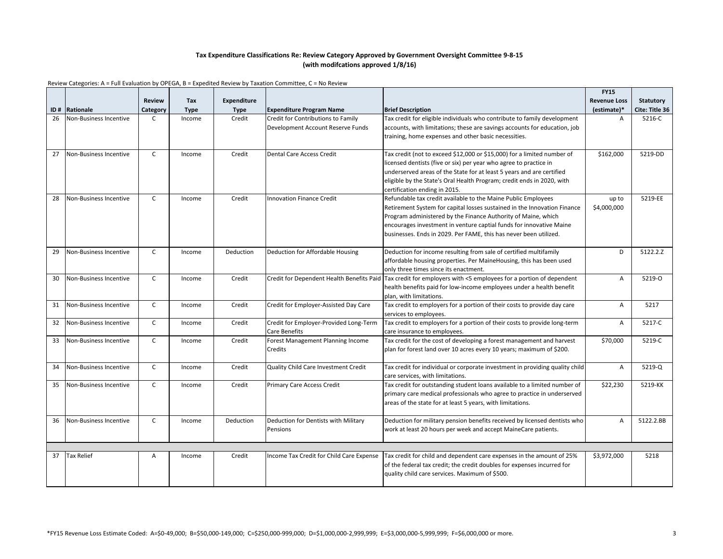|     |                               |                |             |                    |                                           |                                                                              | <b>FY15</b>         |                  |
|-----|-------------------------------|----------------|-------------|--------------------|-------------------------------------------|------------------------------------------------------------------------------|---------------------|------------------|
|     |                               | <b>Review</b>  | <b>Tax</b>  | <b>Expenditure</b> |                                           |                                                                              | <b>Revenue Loss</b> | <b>Statutory</b> |
| ID# | Rationale                     | Category       | <b>Type</b> | <b>Type</b>        | <b>Expenditure Program Name</b>           | <b>Brief Description</b>                                                     | (estimate)*         | Cite: Title 36   |
| 26  | <b>Non-Business Incentive</b> | C              | Income      | Credit             | Credit for Contributions to Family        | Tax credit for eligible individuals who contribute to family development     | Α                   | 5216-C           |
|     |                               |                |             |                    | Development Account Reserve Funds         | accounts, with limitations; these are savings accounts for education, job    |                     |                  |
|     |                               |                |             |                    |                                           | training, home expenses and other basic necessities.                         |                     |                  |
|     |                               |                |             |                    |                                           |                                                                              |                     |                  |
| 27  | <b>Non-Business Incentive</b> | $\mathsf{C}$   | Income      | Credit             | Dental Care Access Credit                 | Tax credit (not to exceed \$12,000 or \$15,000) for a limited number of      | \$162,000           | 5219-DD          |
|     |                               |                |             |                    |                                           | licensed dentists (five or six) per year who agree to practice in            |                     |                  |
|     |                               |                |             |                    |                                           | underserved areas of the State for at least 5 years and are certified        |                     |                  |
|     |                               |                |             |                    |                                           | eligible by the State's Oral Health Program; credit ends in 2020, with       |                     |                  |
|     |                               |                |             |                    |                                           | certification ending in 2015.                                                |                     |                  |
| 28  | Non-Business Incentive        | $\mathsf{C}$   | Income      | Credit             | <b>Innovation Finance Credit</b>          | Refundable tax credit available to the Maine Public Employees                | up to               | 5219-EE          |
|     |                               |                |             |                    |                                           | Retirement System for capital losses sustained in the Innovation Finance     | \$4,000,000         |                  |
|     |                               |                |             |                    |                                           | Program administered by the Finance Authority of Maine, which                |                     |                  |
|     |                               |                |             |                    |                                           | encourages investment in venture captial funds for innovative Maine          |                     |                  |
|     |                               |                |             |                    |                                           | businesses. Ends in 2029. Per FAME, this has never been utilized.            |                     |                  |
|     |                               |                |             |                    |                                           |                                                                              |                     |                  |
| 29  | Non-Business Incentive        | $\mathsf{C}$   | Income      | Deduction          | Deduction for Affordable Housing          | Deduction for income resulting from sale of certified multifamily            | D                   | 5122.2.Z         |
|     |                               |                |             |                    |                                           | affordable housing properties. Per MaineHousing, this has been used          |                     |                  |
|     |                               |                |             |                    |                                           | only three times since its enactment.                                        |                     |                  |
| 30  | Non-Business Incentive        | $\mathsf{C}$   | Income      | Credit             | Credit for Dependent Health Benefits Paid | Tax credit for employers with <5 employees for a portion of dependent        | Α                   | 5219-0           |
|     |                               |                |             |                    |                                           | health benefits paid for low-income employees under a health benefit         |                     |                  |
|     |                               |                |             |                    |                                           | plan, with limitations.                                                      |                     |                  |
| 31  | Non-Business Incentive        | C              | Income      | Credit             | Credit for Employer-Assisted Day Care     | Tax credit to employers for a portion of their costs to provide day care     | A                   | 5217             |
|     |                               |                |             |                    |                                           | services to employees.                                                       |                     |                  |
| 32  | Non-Business Incentive        | $\mathsf{C}$   | Income      | Credit             | Credit for Employer-Provided Long-Term    | Tax credit to employers for a portion of their costs to provide long-term    | A                   | 5217-C           |
|     |                               |                |             |                    | Care Benefits                             | care insurance to employees.                                                 |                     |                  |
| 33  | Non-Business Incentive        | $\mathsf{C}$   | Income      | Credit             | Forest Management Planning Income         | Tax credit for the cost of developing a forest management and harvest        | \$70,000            | 5219-C           |
|     |                               |                |             |                    | Credits                                   | plan for forest land over 10 acres every 10 years; maximum of \$200.         |                     |                  |
|     |                               |                |             |                    |                                           |                                                                              |                     |                  |
| 34  | Non-Business Incentive        | $\mathsf{C}$   | Income      | Credit             | Quality Child Care Investment Credit      | Tax credit for individual or corporate investment in providing quality child | Α                   | 5219-Q           |
|     |                               |                |             |                    |                                           | care services, with limitations.                                             |                     |                  |
| 35  | Non-Business Incentive        | $\mathsf{C}$   | Income      | Credit             | <b>Primary Care Access Credit</b>         | Tax credit for outstanding student loans available to a limited number of    | \$22,230            | 5219-KK          |
|     |                               |                |             |                    |                                           | primary care medical professionals who agree to practice in underserved      |                     |                  |
|     |                               |                |             |                    |                                           | areas of the state for at least 5 years, with limitations.                   |                     |                  |
|     |                               |                |             |                    |                                           |                                                                              |                     |                  |
| 36  | Non-Business Incentive        | $\mathsf{C}$   | Income      | Deduction          | Deduction for Dentists with Military      | Deduction for military pension benefits received by licensed dentists who    | A                   | 5122.2.BB        |
|     |                               |                |             |                    | Pensions                                  | work at least 20 hours per week and accept MaineCare patients.               |                     |                  |
|     |                               |                |             |                    |                                           |                                                                              |                     |                  |
|     |                               |                |             |                    |                                           |                                                                              |                     |                  |
| 37  | <b>Tax Relief</b>             | $\overline{A}$ | Income      | Credit             | Income Tax Credit for Child Care Expense  | Tax credit for child and dependent care expenses in the amount of 25%        | \$3,972,000         | 5218             |
|     |                               |                |             |                    |                                           | of the federal tax credit; the credit doubles for expenses incurred for      |                     |                  |
|     |                               |                |             |                    |                                           | quality child care services. Maximum of \$500.                               |                     |                  |
|     |                               |                |             |                    |                                           |                                                                              |                     |                  |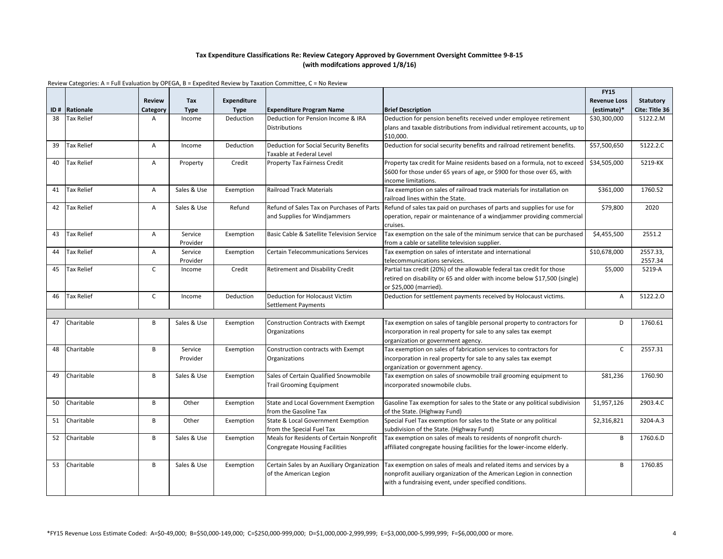|     |                   |                |             |                    |                                               |                                                                                                                   | <b>FY15</b>         |                  |
|-----|-------------------|----------------|-------------|--------------------|-----------------------------------------------|-------------------------------------------------------------------------------------------------------------------|---------------------|------------------|
|     |                   | <b>Review</b>  | <b>Tax</b>  | <b>Expenditure</b> |                                               |                                                                                                                   | <b>Revenue Loss</b> | <b>Statutory</b> |
| ID# | Rationale         | Category       | <b>Type</b> | <b>Type</b>        | <b>Expenditure Program Name</b>               | <b>Brief Description</b>                                                                                          | (estimate)*         | Cite: Title 36   |
| 38  | <b>Tax Relief</b> | A              | Income      | Deduction          | Deduction for Pension Income & IRA            | Deduction for pension benefits received under employee retirement                                                 | \$30,300,000        | 5122.2.M         |
|     |                   |                |             |                    | <b>Distributions</b>                          | plans and taxable distributions from individual retirement accounts, up to                                        |                     |                  |
|     |                   |                |             |                    |                                               | \$10,000.                                                                                                         |                     |                  |
| 39  | <b>Tax Relief</b> | $\overline{A}$ | Income      | Deduction          | <b>Deduction for Social Security Benefits</b> | Deduction for social security benefits and railroad retirement benefits.                                          | \$57,500,650        | 5122.2.C         |
|     |                   |                |             |                    | Taxable at Federal Level                      |                                                                                                                   |                     |                  |
| 40  | <b>Tax Relief</b> | $\overline{A}$ | Property    | Credit             | <b>Property Tax Fairness Credit</b>           | Property tax credit for Maine residents based on a formula, not to exceed                                         | \$34,505,000        | 5219-KK          |
|     |                   |                |             |                    |                                               | \$600 for those under 65 years of age, or \$900 for those over 65, with                                           |                     |                  |
|     |                   |                |             |                    |                                               | income limitations.                                                                                               |                     |                  |
| 41  | <b>Tax Relief</b> | $\overline{A}$ | Sales & Use | Exemption          | <b>Railroad Track Materials</b>               | Tax exemption on sales of railroad track materials for installation on                                            | \$361,000           | 1760.52          |
|     |                   |                |             |                    |                                               | railroad lines within the State.                                                                                  |                     |                  |
| 42  | <b>Tax Relief</b> | $\overline{A}$ | Sales & Use | Refund             |                                               | Refund of Sales Tax on Purchases of Parts Refund of sales tax paid on purchases of parts and supplies for use for | \$79,800            | 2020             |
|     |                   |                |             |                    | and Supplies for Windjammers                  | operation, repair or maintenance of a windjammer providing commercial                                             |                     |                  |
|     |                   |                |             |                    |                                               | cruises.                                                                                                          |                     |                  |
| 43  | <b>Tax Relief</b> | $\overline{A}$ | Service     | Exemption          | Basic Cable & Satellite Television Service    | Tax exemption on the sale of the minimum service that can be purchased                                            | \$4,455,500         | 2551.2           |
|     |                   |                | Provider    |                    |                                               | from a cable or satellite television supplier.                                                                    |                     |                  |
| 44  | <b>Tax Relief</b> | $\overline{A}$ | Service     | Exemption          | Certain Telecommunications Services           | Tax exemption on sales of interstate and international                                                            | \$10,678,000        | 2557.33,         |
|     |                   | $\mathsf{C}$   | Provider    |                    |                                               | telecommunications services.                                                                                      |                     | 2557.34          |
| 45  | <b>Tax Relief</b> |                | Income      | Credit             | Retirement and Disability Credit              | Partial tax credit (20%) of the allowable federal tax credit for those                                            | \$5,000             | 5219-A           |
|     |                   |                |             |                    |                                               | retired on disability or 65 and older with income below \$17,500 (single)<br>or \$25,000 (married)                |                     |                  |
| 46  | <b>Tax Relief</b> | $\mathsf{C}$   | Income      | Deduction          | <b>Deduction for Holocaust Victim</b>         | Deduction for settlement payments received by Holocaust victims.                                                  | Α                   | 5122.2.0         |
|     |                   |                |             |                    | Settlement Payments                           |                                                                                                                   |                     |                  |
|     |                   |                |             |                    |                                               |                                                                                                                   |                     |                  |
| 47  | Charitable        | B              | Sales & Use | Exemption          | Construction Contracts with Exempt            | Tax exemption on sales of tangible personal property to contractors for                                           | D                   | 1760.61          |
|     |                   |                |             |                    | Organizations                                 | incorporation in real property for sale to any sales tax exempt                                                   |                     |                  |
|     |                   |                |             |                    |                                               | organization or government agency.                                                                                |                     |                  |
| 48  | Charitable        | B              | Service     | Exemption          | Construction contracts with Exempt            | Tax exemption on sales of fabrication services to contractors for                                                 | $\mathsf{C}$        | 2557.31          |
|     |                   |                | Provider    |                    | Organizations                                 | incorporation in real property for sale to any sales tax exempt                                                   |                     |                  |
|     |                   |                |             |                    |                                               | organization or government agency.                                                                                |                     |                  |
| 49  | Charitable        | $\overline{B}$ | Sales & Use | Exemption          | Sales of Certain Qualified Snowmobile         | Tax exemption on sales of snowmobile trail grooming equipment to                                                  | \$81,236            | 1760.90          |
|     |                   |                |             |                    | <b>Trail Grooming Equipment</b>               | incorporated snowmobile clubs.                                                                                    |                     |                  |
|     |                   |                |             |                    |                                               |                                                                                                                   |                     |                  |
| 50  | Charitable        | B              | Other       | Exemption          | State and Local Government Exemption          | Gasoline Tax exemption for sales to the State or any political subdivision                                        | \$1,957,126         | 2903.4.C         |
|     |                   |                |             |                    | from the Gasoline Tax                         | of the State. (Highway Fund)                                                                                      |                     |                  |
| 51  | Charitable        | B              | Other       | Exemption          | State & Local Government Exemption            | Special Fuel Tax exemption for sales to the State or any political                                                | \$2,316,821         | 3204-A.3         |
|     |                   |                |             |                    | from the Special Fuel Tax                     | subdivision of the State. (Highway Fund)                                                                          |                     |                  |
| 52  | Charitable        | B              | Sales & Use | Exemption          | Meals for Residents of Certain Nonprofit      | Tax exemption on sales of meals to residents of nonprofit church-                                                 | B                   | 1760.6.D         |
|     |                   |                |             |                    | <b>Congregate Housing Facilities</b>          | affiliated congregate housing facilities for the lower-income elderly.                                            |                     |                  |
|     |                   |                |             |                    |                                               |                                                                                                                   |                     |                  |
| 53  | Charitable        | B              | Sales & Use | Exemption          | Certain Sales by an Auxiliary Organization    | Tax exemption on sales of meals and related items and services by a                                               | R                   | 1760.85          |
|     |                   |                |             |                    | of the American Legion                        | nonprofit auxiliary organization of the American Legion in connection                                             |                     |                  |
|     |                   |                |             |                    |                                               | with a fundraising event, under specified conditions.                                                             |                     |                  |
|     |                   |                |             |                    |                                               |                                                                                                                   |                     |                  |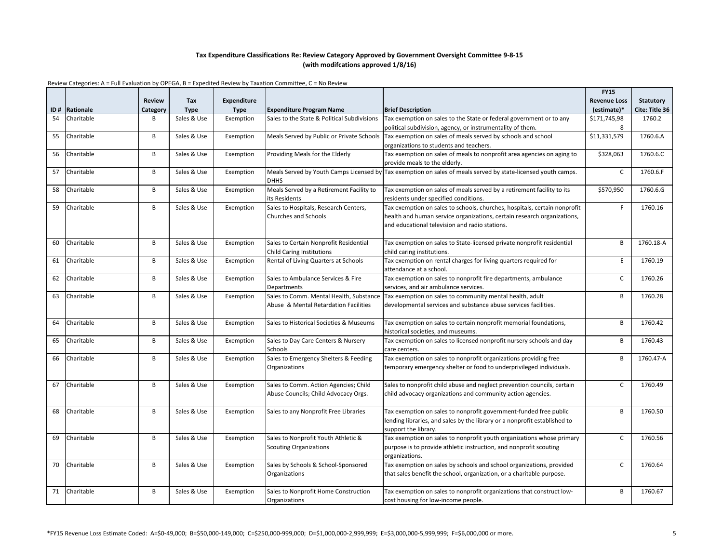|     |            |               |             |                    |                                                  |                                                                                                               | <b>FY15</b>              |                  |
|-----|------------|---------------|-------------|--------------------|--------------------------------------------------|---------------------------------------------------------------------------------------------------------------|--------------------------|------------------|
|     |            | <b>Review</b> | Tax         | <b>Expenditure</b> |                                                  |                                                                                                               | <b>Revenue Loss</b>      | <b>Statutory</b> |
| ID# | Rationale  | Category      | <b>Type</b> | <b>Type</b>        | <b>Expenditure Program Name</b>                  | <b>Brief Description</b>                                                                                      | (estimate)*              | Cite: Title 36   |
| 54  | Charitable | B             | Sales & Use | Exemption          | Sales to the State & Political Subdivisions      | Tax exemption on sales to the State or federal government or to any                                           | \$171,745,98             | 1760.2           |
|     |            |               |             |                    |                                                  | political subdivision, agency, or instrumentality of them.                                                    | 8                        |                  |
| 55  | Charitable | B             | Sales & Use | Exemption          |                                                  | Meals Served by Public or Private Schools   Tax exemption on sales of meals served by schools and school      | $\overline{$}31,331,579$ | 1760.6.A         |
|     |            |               |             |                    |                                                  | organizations to students and teachers.                                                                       |                          |                  |
| 56  | Charitable | B             | Sales & Use | Exemption          | Providing Meals for the Elderly                  | Tax exemption on sales of meals to nonprofit area agencies on aging to                                        | \$328,063                | 1760.6.C         |
|     |            |               |             |                    |                                                  | provide meals to the elderly.                                                                                 |                          |                  |
| 57  | Charitable | B             | Sales & Use | Exemption          |                                                  | Meals Served by Youth Camps Licensed by Tax exemption on sales of meals served by state-licensed youth camps. | $\mathsf{C}$             | 1760.6.F         |
|     |            |               |             |                    | <b>DHHS</b>                                      |                                                                                                               |                          |                  |
| 58  | Charitable | B             | Sales & Use | Exemption          | Meals Served by a Retirement Facility to         | Tax exemption on sales of meals served by a retirement facility to its                                        | \$570,950                | 1760.6.G         |
|     |            |               |             |                    | its Residents                                    | residents under specified conditions.                                                                         |                          |                  |
| 59  | Charitable | B             | Sales & Use | Exemption          | Sales to Hospitals, Research Centers,            | Tax exemption on sales to schools, churches, hospitals, certain nonprofit                                     | F.                       | 1760.16          |
|     |            |               |             |                    | <b>Churches and Schools</b>                      | health and human service organizations, certain research organizations,                                       |                          |                  |
|     |            |               |             |                    |                                                  | and educational television and radio stations.                                                                |                          |                  |
|     |            |               |             |                    |                                                  |                                                                                                               |                          |                  |
| 60  | Charitable | B             | Sales & Use | Exemption          | Sales to Certain Nonprofit Residential           | Tax exemption on sales to State-licensed private nonprofit residential                                        | B                        | 1760.18-A        |
|     |            |               |             |                    | Child Caring Institutions                        | child caring institutions.                                                                                    |                          |                  |
| 61  | Charitable | B             | Sales & Use | Exemption          | Rental of Living Quarters at Schools             | Tax exemption on rental charges for living quarters required for                                              | E                        | 1760.19          |
|     |            |               |             |                    |                                                  | attendance at a school.                                                                                       |                          |                  |
| 62  | Charitable | B             | Sales & Use | Exemption          | Sales to Ambulance Services & Fire               | Tax exemption on sales to nonprofit fire departments, ambulance                                               | C                        | 1760.26          |
|     |            |               |             |                    | <b>Departments</b>                               | services, and air ambulance services.                                                                         |                          |                  |
| 63  | Charitable | B             | Sales & Use | Exemption          | Sales to Comm. Mental Health, Substance          | Tax exemption on sales to community mental health, adult                                                      | B                        | 1760.28          |
|     |            |               |             |                    | Abuse & Mental Retardation Facilities            | developmental services and substance abuse services facilities.                                               |                          |                  |
|     |            |               |             |                    |                                                  |                                                                                                               |                          |                  |
| 64  | Charitable | B             | Sales & Use | Exemption          | Sales to Historical Societies & Museums          | Tax exemption on sales to certain nonprofit memorial foundations,                                             | B                        | 1760.42          |
| 65  | Charitable | B             | Sales & Use |                    |                                                  | historical societies, and museums.<br>Tax exemption on sales to licensed nonprofit nursery schools and day    | B                        | 1760.43          |
|     |            |               |             | Exemption          | Sales to Day Care Centers & Nursery              |                                                                                                               |                          |                  |
| 66  | Charitable | B             | Sales & Use | Exemption          | Schools<br>Sales to Emergency Shelters & Feeding | care centers.<br>Tax exemption on sales to nonprofit organizations providing free                             | B                        | 1760.47-A        |
|     |            |               |             |                    | Organizations                                    | temporary emergency shelter or food to underprivileged individuals.                                           |                          |                  |
|     |            |               |             |                    |                                                  |                                                                                                               |                          |                  |
| 67  | Charitable | B             | Sales & Use | Exemption          | Sales to Comm. Action Agencies; Child            | Sales to nonprofit child abuse and neglect prevention councils, certain                                       | $\mathsf{C}$             | 1760.49          |
|     |            |               |             |                    | Abuse Councils; Child Advocacy Orgs.             | child advocacy organizations and community action agencies.                                                   |                          |                  |
|     |            |               |             |                    |                                                  |                                                                                                               |                          |                  |
| 68  | Charitable | B             | Sales & Use | Exemption          | Sales to any Nonprofit Free Libraries            | Tax exemption on sales to nonprofit government-funded free public                                             | B                        | 1760.50          |
|     |            |               |             |                    |                                                  | lending libraries, and sales by the library or a nonprofit established to                                     |                          |                  |
|     |            |               |             |                    |                                                  | support the library.                                                                                          |                          |                  |
| 69  | Charitable | B             | Sales & Use | Exemption          | Sales to Nonprofit Youth Athletic &              | Tax exemption on sales to nonprofit youth organizations whose primary                                         | $\mathsf{C}$             | 1760.56          |
|     |            |               |             |                    | <b>Scouting Organizations</b>                    | purpose is to provide athletic instruction, and nonprofit scouting                                            |                          |                  |
|     |            |               |             |                    |                                                  | organizations.                                                                                                |                          |                  |
| 70  | Charitable | B             | Sales & Use | Exemption          | Sales by Schools & School-Sponsored              | Tax exemption on sales by schools and school organizations, provided                                          | C                        | 1760.64          |
|     |            |               |             |                    | Organizations                                    | that sales benefit the school, organization, or a charitable purpose.                                         |                          |                  |
|     |            |               |             |                    |                                                  |                                                                                                               |                          |                  |
| 71  | Charitable | B             | Sales & Use | Exemption          | Sales to Nonprofit Home Construction             | Tax exemption on sales to nonprofit organizations that construct low-                                         | B                        | 1760.67          |
|     |            |               |             |                    | <b>Organizations</b>                             | cost housing for low-income people.                                                                           |                          |                  |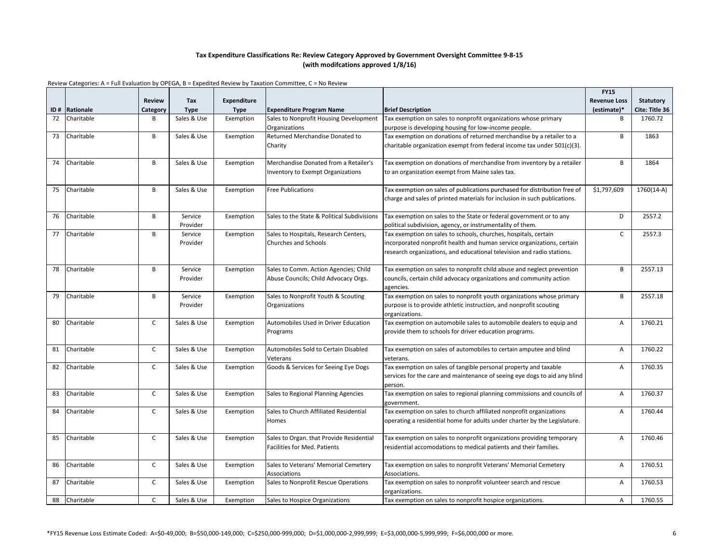|     |            |               |                     |                    |                                             |                                                                                    | <b>FY15</b>         |                |
|-----|------------|---------------|---------------------|--------------------|---------------------------------------------|------------------------------------------------------------------------------------|---------------------|----------------|
|     |            | <b>Review</b> | Tax                 | <b>Expenditure</b> |                                             |                                                                                    | <b>Revenue Loss</b> | Statutory      |
| ID# | Rationale  | Category      | <b>Type</b>         | <b>Type</b>        | <b>Expenditure Program Name</b>             | <b>Brief Description</b>                                                           | (estimate)*         | Cite: Title 36 |
| 72  | Charitable | B             | Sales & Use         | Exemption          | Sales to Nonprofit Housing Development      | Tax exemption on sales to nonprofit organizations whose primary                    | B                   | 1760.72        |
|     |            |               |                     |                    | Organizations                               | purpose is developing housing for low-income people.                               |                     |                |
| 73  | Charitable | B             | Sales & Use         | Exemption          | Returned Merchandise Donated to             | Tax exemption on donations of returned merchandise by a retailer to a              | B                   | 1863           |
|     |            |               |                     |                    | Charity                                     | charitable organization exempt from federal income tax under 501(c)(3).            |                     |                |
|     |            |               |                     |                    |                                             |                                                                                    |                     |                |
| 74  | Charitable | B             | Sales & Use         | Exemption          | Merchandise Donated from a Retailer's       | Tax exemption on donations of merchandise from inventory by a retailer             | B                   | 1864           |
|     |            |               |                     |                    | nventory to Exempt Organizations            | to an organization exempt from Maine sales tax.                                    |                     |                |
|     |            |               |                     |                    |                                             |                                                                                    |                     |                |
| 75  | Charitable | B             | Sales & Use         | Exemption          | <b>Free Publications</b>                    | Tax exemption on sales of publications purchased for distribution free of          | \$1,797,609         | 1760(14-A)     |
|     |            |               |                     |                    |                                             | charge and sales of printed materials for inclusion in such publications.          |                     |                |
|     |            |               |                     |                    |                                             |                                                                                    |                     |                |
| 76  | Charitable | B             | Service             | Exemption          | Sales to the State & Political Subdivisions | Tax exemption on sales to the State or federal government or to any                | D                   | 2557.2         |
|     |            |               | Provider            |                    |                                             | political subdivision, agency, or instrumentality of them.                         |                     |                |
| 77  | Charitable | B             | Service             | Exemption          | Sales to Hospitals, Research Centers,       | Tax exemption on sales to schools, churches, hospitals, certain                    | C                   | 2557.3         |
|     |            |               | Provider            |                    | <b>Churches and Schools</b>                 | incorporated nonprofit health and human service organizations, certain             |                     |                |
|     |            |               |                     |                    |                                             | research organizations, and educational television and radio stations.             |                     |                |
|     |            | B             |                     |                    |                                             |                                                                                    | B                   |                |
| 78  | Charitable |               | Service<br>Provider | Exemption          | Sales to Comm. Action Agencies; Child       | Tax exemption on sales to nonprofit child abuse and neglect prevention             |                     | 2557.13        |
|     |            |               |                     |                    | Abuse Councils; Child Advocacy Orgs.        | councils, certain child advocacy organizations and community action                |                     |                |
| 79  | Charitable | B             | Service             | Exemption          | Sales to Nonprofit Youth & Scouting         | agencies.<br>Tax exemption on sales to nonprofit youth organizations whose primary | B                   | 2557.18        |
|     |            |               | Provider            |                    | Organizations                               | purpose is to provide athletic instruction, and nonprofit scouting                 |                     |                |
|     |            |               |                     |                    |                                             | organizations.                                                                     |                     |                |
| 80  | Charitable | $\mathsf{C}$  | Sales & Use         | Exemption          | Automobiles Used in Driver Education        | Tax exemption on automobile sales to automobile dealers to equip and               | A                   | 1760.21        |
|     |            |               |                     |                    | Programs                                    | provide them to schools for driver education programs.                             |                     |                |
|     |            |               |                     |                    |                                             |                                                                                    |                     |                |
| 81  | Charitable | $\mathsf{C}$  | Sales & Use         | Exemption          | Automobiles Sold to Certain Disabled        | Tax exemption on sales of automobiles to certain amputee and blind                 | A                   | 1760.22        |
|     |            |               |                     |                    | Veterans                                    | veterans.                                                                          |                     |                |
| 82  | Charitable | C             | Sales & Use         | Exemption          | Goods & Services for Seeing Eye Dogs        | Tax exemption on sales of tangible personal property and taxable                   | Α                   | 1760.35        |
|     |            |               |                     |                    |                                             | services for the care and maintenance of seeing eye dogs to aid any blind          |                     |                |
|     |            |               |                     |                    |                                             | person.                                                                            |                     |                |
| 83  | Charitable | $\mathsf{C}$  | Sales & Use         | Exemption          | Sales to Regional Planning Agencies         | Tax exemption on sales to regional planning commissions and councils of            | Α                   | 1760.37        |
|     |            |               |                     |                    |                                             | government.                                                                        |                     |                |
| 84  | Charitable | C             | Sales & Use         | Exemption          | Sales to Church Affiliated Residential      | Tax exemption on sales to church affiliated nonprofit organizations                | Α                   | 1760.44        |
|     |            |               |                     |                    | Homes                                       | operating a residential home for adults under charter by the Legislature.          |                     |                |
|     |            |               |                     |                    |                                             |                                                                                    |                     |                |
| 85  | Charitable | $\mathsf{C}$  | Sales & Use         | Exemption          | Sales to Organ. that Provide Residential    | Tax exemption on sales to nonprofit organizations providing temporary              | Α                   | 1760.46        |
|     |            |               |                     |                    | Facilities for Med. Patients                | residential accomodations to medical patients and their families.                  |                     |                |
|     |            |               |                     |                    |                                             |                                                                                    |                     |                |
| 86  | Charitable | C             | Sales & Use         | Exemption          | Sales to Veterans' Memorial Cemetery        | Tax exemption on sales to nonprofit Veterans' Memorial Cemetery                    | Α                   | 1760.51        |
|     |            |               |                     |                    | <b>Associations</b>                         | Associations.                                                                      |                     |                |
| 87  | Charitable | $\mathsf{C}$  | Sales & Use         | Exemption          | Sales to Nonprofit Rescue Operations        | Tax exemption on sales to nonprofit volunteer search and rescue                    | Α                   | 1760.53        |
|     |            |               |                     |                    |                                             | organizations.                                                                     |                     |                |
| 88  | Charitable | $\mathsf{C}$  | Sales & Use         | Exemption          | Sales to Hospice Organizations              | Tax exemption on sales to nonprofit hospice organizations.                         | A                   | 1760.55        |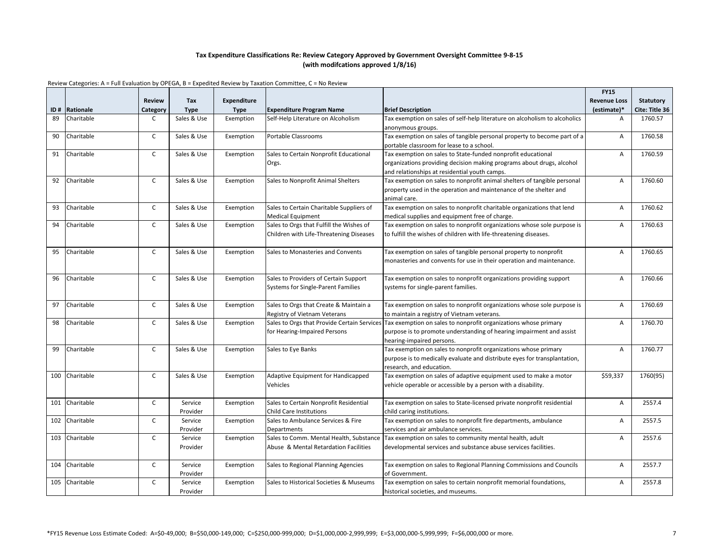|     |                |               |             |             |                                          |                                                                                                             | <b>FY15</b>         |                  |
|-----|----------------|---------------|-------------|-------------|------------------------------------------|-------------------------------------------------------------------------------------------------------------|---------------------|------------------|
|     |                | <b>Review</b> | Tax         | Expenditure |                                          |                                                                                                             | <b>Revenue Loss</b> | <b>Statutory</b> |
|     | ID# Rationale  | Category      | <b>Type</b> | <b>Type</b> | Expenditure Program Name                 | <b>Brief Description</b>                                                                                    | (estimate)*         | Cite: Title 36   |
| 89  | Charitable     | C             | Sales & Use | Exemption   | Self-Help Literature on Alcoholism       | Tax exemption on sales of self-help literature on alcoholism to alcoholics                                  | Α                   | 1760.57          |
|     |                |               |             |             |                                          | anonymous groups.                                                                                           |                     |                  |
| 90  | Charitable     | $\mathsf{C}$  | Sales & Use | Exemption   | Portable Classrooms                      | Tax exemption on sales of tangible personal property to become part of a                                    | A                   | 1760.58          |
|     |                |               |             |             |                                          | portable classroom for lease to a school.                                                                   |                     |                  |
| 91  | Charitable     | $\mathsf{C}$  | Sales & Use | Exemption   | Sales to Certain Nonprofit Educational   | Tax exemption on sales to State-funded nonprofit educational                                                | Α                   | 1760.59          |
|     |                |               |             |             | Orgs.                                    | organizations providing decision making programs about drugs, alcohol                                       |                     |                  |
|     |                |               |             |             |                                          | and relationships at residential youth camps.                                                               |                     |                  |
| 92  | Charitable     | $\mathsf{C}$  | Sales & Use | Exemption   | Sales to Nonprofit Animal Shelters       | Tax exemption on sales to nonprofit animal shelters of tangible personal                                    | Α                   | 1760.60          |
|     |                |               |             |             |                                          | property used in the operation and maintenance of the shelter and                                           |                     |                  |
|     |                |               |             |             |                                          | animal care.                                                                                                |                     |                  |
| 93  | Charitable     | C             | Sales & Use | Exemption   | Sales to Certain Charitable Suppliers of | Tax exemption on sales to nonprofit charitable organizations that lend                                      | А                   | 1760.62          |
|     |                |               |             |             | <b>Medical Equipment</b>                 | medical supplies and equipment free of charge.                                                              |                     |                  |
| 94  | Charitable     | $\mathsf{C}$  | Sales & Use | Exemption   | Sales to Orgs that Fulfill the Wishes of | Tax exemption on sales to nonprofit organizations whose sole purpose is                                     | Α                   | 1760.63          |
|     |                |               |             |             | Children with Life-Threatening Diseases  | to fulfill the wishes of children with life-threatening diseases.                                           |                     |                  |
|     |                |               |             |             |                                          |                                                                                                             |                     |                  |
| 95  | Charitable     | $\mathsf{C}$  | Sales & Use | Exemption   | Sales to Monasteries and Convents        | Tax exemption on sales of tangible personal property to nonprofit                                           | A                   | 1760.65          |
|     |                |               |             |             |                                          | monasteries and convents for use in their operation and maintenance.                                        |                     |                  |
|     |                |               |             |             |                                          |                                                                                                             |                     |                  |
| 96  | Charitable     | $\mathsf{C}$  | Sales & Use | Exemption   | Sales to Providers of Certain Support    | Tax exemption on sales to nonprofit organizations providing support                                         | А                   | 1760.66          |
|     |                |               |             |             | Systems for Single-Parent Families       | systems for single-parent families.                                                                         |                     |                  |
|     |                |               |             |             |                                          |                                                                                                             |                     |                  |
| 97  | Charitable     | C             | Sales & Use | Exemption   | Sales to Orgs that Create & Maintain a   | Tax exemption on sales to nonprofit organizations whose sole purpose is                                     | А                   | 1760.69          |
|     |                |               |             |             | Registry of Vietnam Veterans             | to maintain a registry of Vietnam veterans.                                                                 |                     |                  |
| 98  | Charitable     | $\mathsf{C}$  | Sales & Use | Exemption   |                                          | Sales to Orgs that Provide Certain Services Tax exemption on sales to nonprofit organizations whose primary | А                   | 1760.70          |
|     |                |               |             |             | for Hearing-Impaired Persons             | purpose is to promote understanding of hearing impairment and assist                                        |                     |                  |
|     |                |               |             |             |                                          | hearing-impaired persons.                                                                                   |                     |                  |
| 99  | Charitable     | $\mathsf{C}$  | Sales & Use | Exemption   | Sales to Eye Banks                       | Tax exemption on sales to nonprofit organizations whose primary                                             | А                   | 1760.77          |
|     |                |               |             |             |                                          | purpose is to medically evaluate and distribute eyes for transplantation,                                   |                     |                  |
|     |                |               |             |             |                                          | research, and education.                                                                                    |                     |                  |
| 100 | Charitable     | $\mathsf{C}$  | Sales & Use | Exemption   | Adaptive Equipment for Handicapped       | Tax exemption on sales of adaptive equipment used to make a motor                                           | \$59,337            | 1760(95)         |
|     |                |               |             |             | Vehicles                                 | vehicle operable or accessible by a person with a disability.                                               |                     |                  |
|     |                |               |             |             |                                          |                                                                                                             |                     |                  |
|     | 101 Charitable | $\mathsf{C}$  | Service     | Exemption   | Sales to Certain Nonprofit Residential   | Tax exemption on sales to State-licensed private nonprofit residential                                      | А                   | 2557.4           |
|     |                |               | Provider    |             | Child Care Institutions                  | child caring institutions.                                                                                  |                     |                  |
| 102 | Charitable     | $\mathsf{C}$  | Service     | Exemption   | Sales to Ambulance Services & Fire       | Tax exemption on sales to nonprofit fire departments, ambulance                                             | А                   | 2557.5           |
|     |                |               | Provider    |             | Departments                              | services and air ambulance services.                                                                        |                     |                  |
| 103 | Charitable     | C             | Service     | Exemption   | Sales to Comm. Mental Health, Substance  | Tax exemption on sales to community mental health, adult                                                    | А                   | 2557.6           |
|     |                |               | Provider    |             | Abuse & Mental Retardation Facilities    | developmental services and substance abuse services facilities.                                             |                     |                  |
|     |                |               |             |             |                                          |                                                                                                             |                     |                  |
| 104 | Charitable     | $\mathsf{C}$  | Service     | Exemption   | Sales to Regional Planning Agencies      | Tax exemption on sales to Regional Planning Commissions and Councils                                        | А                   | 2557.7           |
|     |                |               | Provider    |             |                                          | of Government.                                                                                              |                     |                  |
| 105 | Charitable     | $\mathsf{C}$  | Service     | Exemption   | Sales to Historical Societies & Museums  | Tax exemption on sales to certain nonprofit memorial foundations,                                           | Α                   | 2557.8           |
|     |                |               | Provider    |             |                                          | historical societies, and museums.                                                                          |                     |                  |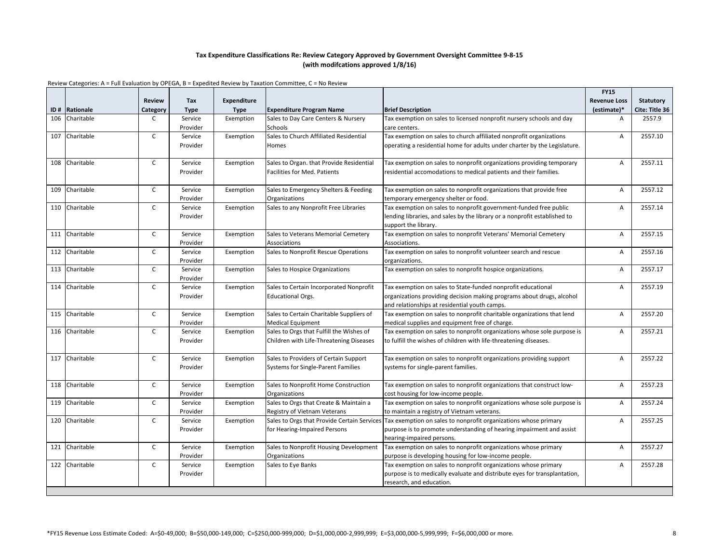|     |                |               |                     |                    |                                             |                                                                              | <b>FY15</b>         |                  |
|-----|----------------|---------------|---------------------|--------------------|---------------------------------------------|------------------------------------------------------------------------------|---------------------|------------------|
|     |                | <b>Review</b> | Tax                 | <b>Expenditure</b> |                                             |                                                                              | <b>Revenue Loss</b> | <b>Statutory</b> |
|     | ID# Rationale  | Category      | <b>Type</b>         | <b>Type</b>        | <b>Expenditure Program Name</b>             | <b>Brief Description</b>                                                     | (estimate)*         | Cite: Title 36   |
| 106 | Charitable     | C             | Service             | Exemption          | Sales to Day Care Centers & Nursery         | Tax exemption on sales to licensed nonprofit nursery schools and day         | $\overline{A}$      | 2557.9           |
|     |                |               | Provider            |                    | Schools                                     | care centers.                                                                |                     |                  |
| 107 | Charitable     | $\mathsf{C}$  | Service             | Exemption          | Sales to Church Affiliated Residential      | Tax exemption on sales to church affiliated nonprofit organizations          | $\overline{A}$      | 2557.10          |
|     |                |               | Provider            |                    | Homes                                       | operating a residential home for adults under charter by the Legislature.    |                     |                  |
|     |                |               |                     |                    |                                             |                                                                              |                     |                  |
| 108 | Charitable     | C             | Service             | Exemption          | Sales to Organ. that Provide Residential    | Tax exemption on sales to nonprofit organizations providing temporary        | $\overline{A}$      | 2557.11          |
|     |                |               | Provider            |                    | <b>Facilities for Med. Patients</b>         | residential accomodations to medical patients and their families.            |                     |                  |
|     |                |               |                     |                    |                                             |                                                                              |                     |                  |
| 109 | Charitable     | C             | Service             | Exemption          | Sales to Emergency Shelters & Feeding       | Tax exemption on sales to nonprofit organizations that provide free          | $\overline{A}$      | 2557.12          |
|     |                |               | Provider            |                    | Organizations                               | temporary emergency shelter or food.                                         |                     |                  |
| 110 | Charitable     | $\mathsf{C}$  | Service             | Exemption          | Sales to any Nonprofit Free Libraries       | Tax exemption on sales to nonprofit government-funded free public            | A                   | 2557.14          |
|     |                |               | Provider            |                    |                                             | lending libraries, and sales by the library or a nonprofit established to    |                     |                  |
|     |                |               |                     |                    |                                             | support the library.                                                         |                     |                  |
|     | 111 Charitable | $\mathsf{C}$  | Service             | Exemption          | Sales to Veterans Memorial Cemetery         | Tax exemption on sales to nonprofit Veterans' Memorial Cemetery              | A                   | 2557.15          |
|     |                |               | Provider            |                    | Associations                                | Associations.                                                                |                     |                  |
| 112 | Charitable     | C             | Service             | Exemption          | Sales to Nonprofit Rescue Operations        | Tax exemption on sales to nonprofit volunteer search and rescue              | A                   | 2557.16          |
| 113 | Charitable     | $\mathsf{C}$  | Provider<br>Service | Exemption          | Sales to Hospice Organizations              | organizations.<br>Tax exemption on sales to nonprofit hospice organizations. | $\overline{A}$      | 2557.17          |
|     |                |               | Provider            |                    |                                             |                                                                              |                     |                  |
| 114 | Charitable     | C             | Service             | Exemption          | Sales to Certain Incorporated Nonprofit     | Tax exemption on sales to State-funded nonprofit educational                 | A                   | 2557.19          |
|     |                |               | Provider            |                    | <b>Educational Orgs.</b>                    | organizations providing decision making programs about drugs, alcohol        |                     |                  |
|     |                |               |                     |                    |                                             | and relationships at residential youth camps.                                |                     |                  |
| 115 | Charitable     | C             | Service             | Exemption          | Sales to Certain Charitable Suppliers of    | Tax exemption on sales to nonprofit charitable organizations that lend       | $\overline{A}$      | 2557.20          |
|     |                |               | Provider            |                    | <b>Medical Equipment</b>                    | medical supplies and equipment free of charge.                               |                     |                  |
|     | 116 Charitable | $\mathsf{C}$  | Service             | Exemption          | Sales to Orgs that Fulfill the Wishes of    | Tax exemption on sales to nonprofit organizations whose sole purpose is      | $\overline{A}$      | 2557.21          |
|     |                |               | Provider            |                    | Children with Life-Threatening Diseases     | to fulfill the wishes of children with life-threatening diseases.            |                     |                  |
|     |                |               |                     |                    |                                             |                                                                              |                     |                  |
|     | 117 Charitable | $\mathsf{C}$  | Service             | Exemption          | Sales to Providers of Certain Support       | Tax exemption on sales to nonprofit organizations providing support          | $\overline{A}$      | 2557.22          |
|     |                |               | Provider            |                    | <b>Systems for Single-Parent Families</b>   | systems for single-parent families.                                          |                     |                  |
|     |                |               |                     |                    |                                             |                                                                              |                     |                  |
|     | 118 Charitable | $\mathsf{C}$  | Service             | Exemption          | Sales to Nonprofit Home Construction        | Tax exemption on sales to nonprofit organizations that construct low-        | $\overline{A}$      | 2557.23          |
|     |                |               | Provider            |                    | Organizations                               | cost housing for low-income people.                                          |                     |                  |
| 119 | Charitable     | C             | Service             | Exemption          | Sales to Orgs that Create & Maintain a      | Tax exemption on sales to nonprofit organizations whose sole purpose is      | $\overline{A}$      | 2557.24          |
|     |                |               | Provider            |                    | Registry of Vietnam Veterans                | to maintain a registry of Vietnam veterans.                                  |                     |                  |
|     | 120 Charitable | $\mathsf{C}$  | Service             | Exemption          | Sales to Orgs that Provide Certain Services | Tax exemption on sales to nonprofit organizations whose primary              | $\overline{A}$      | 2557.25          |
|     |                |               | Provider            |                    | for Hearing-Impaired Persons                | purpose is to promote understanding of hearing impairment and assist         |                     |                  |
|     |                |               |                     |                    |                                             | hearing-impaired persons.                                                    |                     |                  |
|     | 121 Charitable | $\mathsf{C}$  | Service             | Exemption          | Sales to Nonprofit Housing Development      | Tax exemption on sales to nonprofit organizations whose primary              | $\overline{A}$      | 2557.27          |
|     |                |               | Provider            |                    | Organizations                               | purpose is developing housing for low-income people.                         |                     |                  |
| 122 | Charitable     | $\mathsf{C}$  | Service             | Exemption          | Sales to Eye Banks                          | Tax exemption on sales to nonprofit organizations whose primary              | A                   | 2557.28          |
|     |                |               | Provider            |                    |                                             | purpose is to medically evaluate and distribute eyes for transplantation,    |                     |                  |
|     |                |               |                     |                    |                                             | research, and education.                                                     |                     |                  |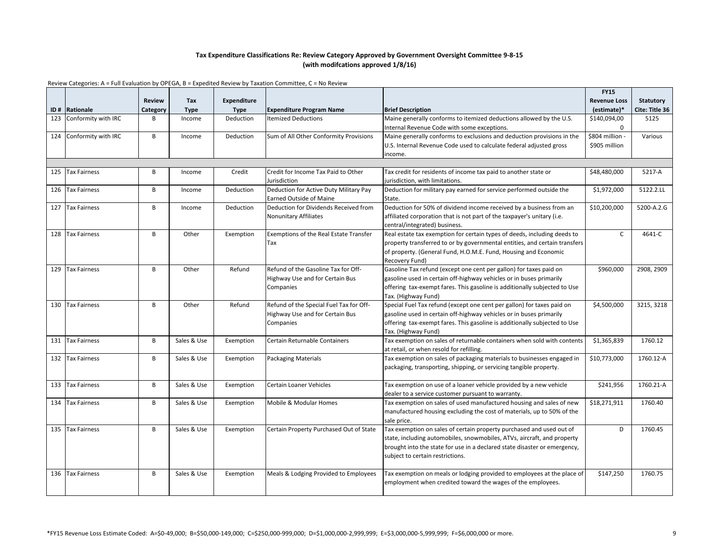|     |                     |               |             |                    |                                         |                                                                            | <b>FY15</b>         |                  |
|-----|---------------------|---------------|-------------|--------------------|-----------------------------------------|----------------------------------------------------------------------------|---------------------|------------------|
|     |                     | <b>Review</b> | Tax         | <b>Expenditure</b> |                                         |                                                                            | <b>Revenue Loss</b> | <b>Statutory</b> |
|     | ID# Rationale       | Category      | <b>Type</b> | <b>Type</b>        | <b>Expenditure Program Name</b>         | <b>Brief Description</b>                                                   | (estimate)*         | Cite: Title 36   |
| 123 | Conformity with IRC | B             | Income      | Deduction          | <b>Itemized Deductions</b>              | Maine generally conforms to itemized deductions allowed by the U.S.        | \$140,094,00        | 5125             |
|     |                     |               |             |                    |                                         | Internal Revenue Code with some exceptions.                                | $\Omega$            |                  |
| 124 | Conformity with IRC | B             | Income      | Deduction          | Sum of All Other Conformity Provisions  | Maine generally conforms to exclusions and deduction provisions in the     | \$804 million -     | Various          |
|     |                     |               |             |                    |                                         | U.S. Internal Revenue Code used to calculate federal adjusted gross        | \$905 million       |                  |
|     |                     |               |             |                    |                                         | income.                                                                    |                     |                  |
|     |                     |               |             |                    |                                         |                                                                            |                     |                  |
| 125 | <b>Tax Fairness</b> | B             | Income      | Credit             | Credit for Income Tax Paid to Other     | Tax credit for residents of income tax paid to another state or            | \$48,480,000        | 5217-A           |
|     |                     |               |             |                    | Jurisdiction                            | jurisdiction, with limitations.                                            |                     |                  |
| 126 | <b>Tax Fairness</b> | B             | Income      | Deduction          | Deduction for Active Duty Military Pay  | Deduction for military pay earned for service performed outside the        | \$1,972,000         | 5122.2.LL        |
|     |                     |               |             |                    | <b>Earned Outside of Maine</b>          | State.                                                                     |                     |                  |
| 127 | <b>Tax Fairness</b> | B             | Income      | Deduction          | Deduction for Dividends Received from   | Deduction for 50% of dividend income received by a business from an        | \$10,200,000        | 5200-A.2.G       |
|     |                     |               |             |                    | Nonunitary Affiliates                   | affiliated corporation that is not part of the taxpayer's unitary (i.e.    |                     |                  |
|     |                     |               |             |                    |                                         | central/integrated) business.                                              |                     |                  |
| 128 | <b>Tax Fairness</b> | B             | Other       | Exemption          | Exemptions of the Real Estate Transfer  | Real estate tax exemption for certain types of deeds, including deeds to   | $\mathsf{C}$        | 4641-C           |
|     |                     |               |             |                    | Tax                                     | property transferred to or by governmental entities, and certain transfers |                     |                  |
|     |                     |               |             |                    |                                         | of property. (General Fund, H.O.M.E. Fund, Housing and Economic            |                     |                  |
|     |                     |               |             |                    |                                         | Recovery Fund)                                                             |                     |                  |
| 129 | <b>Tax Fairness</b> | B             | Other       | Refund             | Refund of the Gasoline Tax for Off-     | Gasoline Tax refund (except one cent per gallon) for taxes paid on         | \$960,000           | 2908, 2909       |
|     |                     |               |             |                    | <b>Highway Use and for Certain Bus</b>  | gasoline used in certain off-highway vehicles or in buses primarily        |                     |                  |
|     |                     |               |             |                    | Companies                               | offering tax-exempt fares. This gasoline is additionally subjected to Use  |                     |                  |
|     |                     |               |             |                    |                                         | Tax. (Highway Fund)                                                        |                     |                  |
| 130 | <b>Tax Fairness</b> | B             | Other       | Refund             | Refund of the Special Fuel Tax for Off- | Special Fuel Tax refund (except one cent per gallon) for taxes paid on     | \$4,500,000         | 3215, 3218       |
|     |                     |               |             |                    | <b>Highway Use and for Certain Bus</b>  | gasoline used in certain off-highway vehicles or in buses primarily        |                     |                  |
|     |                     |               |             |                    | Companies                               | offering tax-exempt fares. This gasoline is additionally subjected to Use  |                     |                  |
|     |                     |               |             |                    |                                         | Tax. (Highway Fund)                                                        |                     |                  |
| 131 | <b>Tax Fairness</b> | B             | Sales & Use | Exemption          | Certain Returnable Containers           | Tax exemption on sales of returnable containers when sold with contents    | \$1,365,839         | 1760.12          |
|     |                     |               |             |                    |                                         | at retail, or when resold for refilling.                                   |                     |                  |
|     | 132 Tax Fairness    | B             | Sales & Use | Exemption          | Packaging Materials                     | Tax exemption on sales of packaging materials to businesses engaged in     | \$10,773,000        | 1760.12-A        |
|     |                     |               |             |                    |                                         | packaging, transporting, shipping, or servicing tangible property.         |                     |                  |
|     |                     |               |             |                    |                                         |                                                                            |                     |                  |
| 133 | <b>Tax Fairness</b> | B             | Sales & Use | Exemption          | <b>Certain Loaner Vehicles</b>          | Tax exemption on use of a loaner vehicle provided by a new vehicle         | \$241,956           | 1760.21-A        |
|     |                     |               |             |                    |                                         | dealer to a service customer pursuant to warranty.                         |                     |                  |
| 134 | <b>Tax Fairness</b> | B             | Sales & Use | Exemption          | Mobile & Modular Homes                  | Tax exemption on sales of used manufactured housing and sales of new       | \$18,271,911        | 1760.40          |
|     |                     |               |             |                    |                                         | manufactured housing excluding the cost of materials, up to 50% of the     |                     |                  |
|     |                     |               |             |                    |                                         | sale price.                                                                |                     |                  |
| 135 | <b>Tax Fairness</b> | B             | Sales & Use | Exemption          | Certain Property Purchased Out of State | Tax exemption on sales of certain property purchased and used out of       | D                   | 1760.45          |
|     |                     |               |             |                    |                                         | state, including automobiles, snowmobiles, ATVs, aircraft, and property    |                     |                  |
|     |                     |               |             |                    |                                         | brought into the state for use in a declared state disaster or emergency,  |                     |                  |
|     |                     |               |             |                    |                                         | subject to certain restrictions.                                           |                     |                  |
|     |                     |               |             |                    |                                         |                                                                            |                     |                  |
| 136 | <b>Tax Fairness</b> | B             | Sales & Use | Exemption          | Meals & Lodging Provided to Employees   | Tax exemption on meals or lodging provided to employees at the place of    | \$147,250           | 1760.75          |
|     |                     |               |             |                    |                                         | employment when credited toward the wages of the employees.                |                     |                  |
|     |                     |               |             |                    |                                         |                                                                            |                     |                  |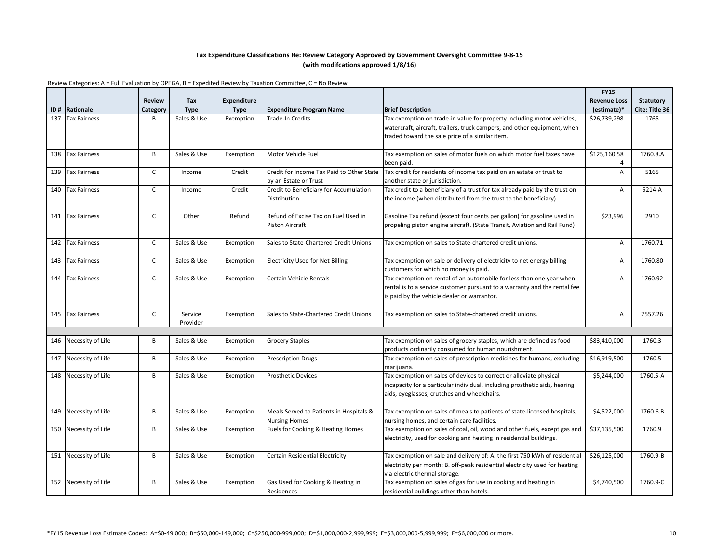|     |                       |               |             |             |                                                                    |                                                                                                                          | <b>FY15</b>         |                |
|-----|-----------------------|---------------|-------------|-------------|--------------------------------------------------------------------|--------------------------------------------------------------------------------------------------------------------------|---------------------|----------------|
|     |                       | <b>Review</b> | Tax         | Expenditure |                                                                    |                                                                                                                          | <b>Revenue Loss</b> | Statutory      |
| ID# | Rationale             | Category      | <b>Type</b> | Type        | <b>Expenditure Program Name</b>                                    | <b>Brief Description</b>                                                                                                 | (estimate)*         | Cite: Title 36 |
| 137 | <b>Tax Fairness</b>   | B             | Sales & Use | Exemption   | Trade-In Credits                                                   | Tax exemption on trade-in value for property including motor vehicles,                                                   | \$26,739,298        | 1765           |
|     |                       |               |             |             |                                                                    | watercraft, aircraft, trailers, truck campers, and other equipment, when                                                 |                     |                |
|     |                       |               |             |             |                                                                    | traded toward the sale price of a similar item.                                                                          |                     |                |
|     |                       |               |             |             |                                                                    |                                                                                                                          |                     |                |
| 138 | <b>Tax Fairness</b>   | B             | Sales & Use | Exemption   | Motor Vehicle Fuel                                                 | Tax exemption on sales of motor fuels on which motor fuel taxes have                                                     | \$125,160,58        | 1760.8.A       |
|     |                       |               |             |             |                                                                    | been paid.                                                                                                               | 4                   |                |
| 139 | <b>Tax Fairness</b>   | $\mathsf{C}$  | Income      | Credit      | Credit for Income Tax Paid to Other State<br>by an Estate or Trust | Tax credit for residents of income tax paid on an estate or trust to                                                     | A                   | 5165           |
| 140 | <b>Tax Fairness</b>   | $\mathsf{C}$  | Income      | Credit      | Credit to Beneficiary for Accumulation                             | another state or jurisdiction.<br>Tax credit to a beneficiary of a trust for tax already paid by the trust on            | A                   | 5214-A         |
|     |                       |               |             |             | Distribution                                                       | the income (when distributed from the trust to the beneficiary).                                                         |                     |                |
|     |                       |               |             |             |                                                                    |                                                                                                                          |                     |                |
|     | 141 Tax Fairness      | $\mathsf{C}$  | Other       | Refund      | Refund of Excise Tax on Fuel Used in                               | Gasoline Tax refund (except four cents per gallon) for gasoline used in                                                  | \$23,996            | 2910           |
|     |                       |               |             |             | Piston Aircraft                                                    | propeling piston engine aircraft. (State Transit, Aviation and Rail Fund)                                                |                     |                |
|     |                       |               |             |             |                                                                    |                                                                                                                          |                     |                |
| 142 | <b>Tax Fairness</b>   | $\mathsf{C}$  | Sales & Use | Exemption   | Sales to State-Chartered Credit Unions                             | Tax exemption on sales to State-chartered credit unions.                                                                 | Α                   | 1760.71        |
|     |                       |               |             |             |                                                                    |                                                                                                                          |                     |                |
| 143 | <b>Tax Fairness</b>   | C             | Sales & Use | Exemption   | <b>Electricity Used for Net Billing</b>                            | Tax exemption on sale or delivery of electricity to net energy billing                                                   | Α                   | 1760.80        |
|     |                       |               |             |             |                                                                    | customers for which no money is paid.                                                                                    |                     |                |
| 144 | <b>Tax Fairness</b>   | $\mathsf{C}$  | Sales & Use | Exemption   | Certain Vehicle Rentals                                            | Tax exemption on rental of an automobile for less than one year when                                                     | A                   | 1760.92        |
|     |                       |               |             |             |                                                                    | rental is to a service customer pursuant to a warranty and the rental fee                                                |                     |                |
|     |                       |               |             |             |                                                                    | is paid by the vehicle dealer or warrantor.                                                                              |                     |                |
| 145 | <b>Tax Fairness</b>   | $\mathsf{C}$  | Service     | Exemption   | Sales to State-Chartered Credit Unions                             | Tax exemption on sales to State-chartered credit unions.                                                                 | A                   | 2557.26        |
|     |                       |               | Provider    |             |                                                                    |                                                                                                                          |                     |                |
|     |                       |               |             |             |                                                                    |                                                                                                                          |                     |                |
| 146 | Necessity of Life     | B             | Sales & Use | Exemption   | <b>Grocery Staples</b>                                             | Tax exemption on sales of grocery staples, which are defined as food                                                     | \$83,410,000        | 1760.3         |
|     |                       |               |             |             |                                                                    | products ordinarily consumed for human nourishment.                                                                      |                     |                |
| 147 | Necessity of Life     | B             | Sales & Use | Exemption   | Prescription Drugs                                                 | Tax exemption on sales of prescription medicines for humans, excluding                                                   | \$16,919,500        | 1760.5         |
|     |                       |               |             |             |                                                                    | marijuana.                                                                                                               |                     |                |
| 148 | Necessity of Life     | B             | Sales & Use | Exemption   | <b>Prosthetic Devices</b>                                          | Tax exemption on sales of devices to correct or alleviate physical                                                       | \$5,244,000         | 1760.5-A       |
|     |                       |               |             |             |                                                                    | incapacity for a particular individual, including prosthetic aids, hearing                                               |                     |                |
|     |                       |               |             |             |                                                                    | aids, eyeglasses, crutches and wheelchairs.                                                                              |                     |                |
|     |                       |               |             |             |                                                                    |                                                                                                                          |                     |                |
| 149 | Necessity of Life     | B             | Sales & Use | Exemption   | Meals Served to Patients in Hospitals &                            | Tax exemption on sales of meals to patients of state-licensed hospitals,                                                 | \$4,522,000         | 1760.6.B       |
| 150 | Necessity of Life     | B             | Sales & Use | Exemption   | <b>Nursing Homes</b><br>Fuels for Cooking & Heating Homes          | nursing homes, and certain care facilities.<br>Tax exemption on sales of coal, oil, wood and other fuels, except gas and | \$37,135,500        | 1760.9         |
|     |                       |               |             |             |                                                                    | electricity, used for cooking and heating in residential buildings.                                                      |                     |                |
|     |                       |               |             |             |                                                                    |                                                                                                                          |                     |                |
|     | 151 Necessity of Life | B             | Sales & Use | Exemption   | Certain Residential Electricity                                    | Tax exemption on sale and delivery of: A. the first 750 kWh of residential                                               | \$26,125,000        | 1760.9-B       |
|     |                       |               |             |             |                                                                    | electricity per month; B. off-peak residential electricity used for heating                                              |                     |                |
|     |                       |               |             |             |                                                                    | via electric thermal storage.                                                                                            |                     |                |
| 152 | Necessity of Life     | B             | Sales & Use | Exemption   | Gas Used for Cooking & Heating in                                  | Tax exemption on sales of gas for use in cooking and heating in                                                          | \$4,740,500         | 1760.9-C       |
|     |                       |               |             |             | Residences                                                         | residential buildings other than hotels.                                                                                 |                     |                |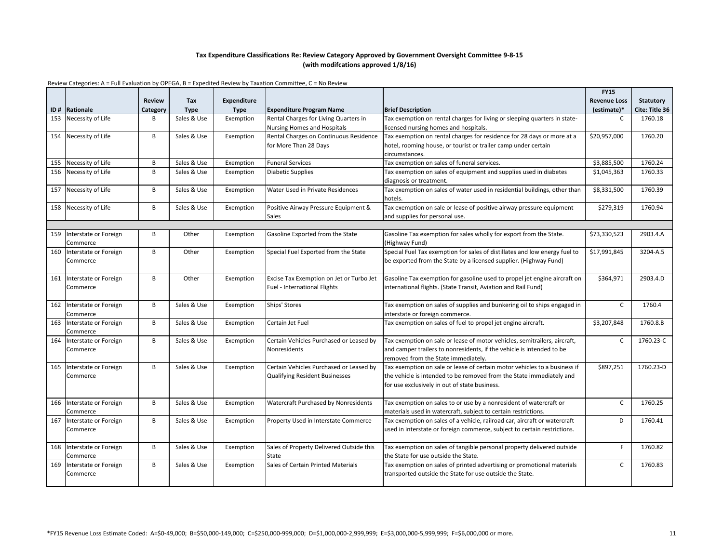|     |                                   |               |             |             |                                          |                                                                                                  | <b>FY15</b>         |                |
|-----|-----------------------------------|---------------|-------------|-------------|------------------------------------------|--------------------------------------------------------------------------------------------------|---------------------|----------------|
|     |                                   | <b>Review</b> | Tax         | Expenditure |                                          |                                                                                                  | <b>Revenue Loss</b> | Statutory      |
| ID# | Rationale                         | Category      | <b>Type</b> | <b>Type</b> | <b>Expenditure Program Name</b>          | <b>Brief Description</b>                                                                         | (estimate)*         | Cite: Title 36 |
| 153 | Necessity of Life                 | B             | Sales & Use | Exemption   | Rental Charges for Living Quarters in    | Tax exemption on rental charges for living or sleeping quarters in state-                        | C                   | 1760.18        |
|     |                                   |               |             |             | <b>Nursing Homes and Hospitals</b>       | licensed nursing homes and hospitals.                                                            |                     |                |
| 154 | Necessity of Life                 | B             | Sales & Use | Exemption   | Rental Charges on Continuous Residence   | Tax exemption on rental charges for residence for 28 days or more at a                           | \$20,957,000        | 1760.20        |
|     |                                   |               |             |             | for More Than 28 Days                    | hotel, rooming house, or tourist or trailer camp under certain                                   |                     |                |
|     |                                   |               |             |             |                                          | circumstances.                                                                                   |                     |                |
| 155 | Necessity of Life                 | B             | Sales & Use | Exemption   | <b>Funeral Services</b>                  | Tax exemption on sales of funeral services.                                                      | \$3,885,500         | 1760.24        |
| 156 | Necessity of Life                 | B             | Sales & Use | Exemption   | <b>Diabetic Supplies</b>                 | Tax exemption on sales of equipment and supplies used in diabetes                                | \$1,045,363         | 1760.33        |
|     |                                   |               |             |             |                                          | diagnosis or treatment.                                                                          |                     |                |
| 157 | Necessity of Life                 | B             | Sales & Use | Exemption   | Water Used in Private Residences         | Tax exemption on sales of water used in residential buildings, other than                        | \$8,331,500         | 1760.39        |
|     |                                   |               |             |             |                                          | hotels.                                                                                          |                     |                |
| 158 | Necessity of Life                 | B             | Sales & Use | Exemption   | Positive Airway Pressure Equipment &     | Tax exemption on sale or lease of positive airway pressure equipment                             | \$279,319           | 1760.94        |
|     |                                   |               |             |             | Sales                                    | and supplies for personal use.                                                                   |                     |                |
|     |                                   |               |             |             |                                          |                                                                                                  |                     |                |
| 159 | Interstate or Foreign             | B             | Other       | Exemption   | Gasoline Exported from the State         | Gasoline Tax exemption for sales wholly for export from the State.                               | \$73,330,523        | 2903.4.A       |
|     | Commerce                          |               |             |             |                                          | (Highway Fund)                                                                                   |                     |                |
| 160 | Interstate or Foreign             | B             | Other       | Exemption   | Special Fuel Exported from the State     | Special Fuel Tax exemption for sales of distillates and low energy fuel to                       | \$17,991,845        | 3204-A.5       |
|     | Commerce                          |               |             |             |                                          | be exported from the State by a licensed supplier. (Highway Fund)                                |                     |                |
|     |                                   |               |             |             |                                          |                                                                                                  |                     |                |
| 161 | Interstate or Foreign             | B             | Other       | Exemption   | Excise Tax Exemption on Jet or Turbo Jet | Gasoline Tax exemption for gasoline used to propel jet engine aircraft on                        | \$364,971           | 2903.4.D       |
|     | Commerce                          |               |             |             | Fuel - International Flights             | international flights. (State Transit, Aviation and Rail Fund)                                   |                     |                |
| 162 |                                   | B             | Sales & Use |             | Ships' Stores                            | Tax exemption on sales of supplies and bunkering oil to ships engaged in                         | $\mathsf{C}$        | 1760.4         |
|     | Interstate or Foreign             |               |             | Exemption   |                                          |                                                                                                  |                     |                |
| 163 | Commerce<br>Interstate or Foreign | B             | Sales & Use | Exemption   | Certain Jet Fuel                         | interstate or foreign commerce.<br>Tax exemption on sales of fuel to propel jet engine aircraft. | \$3,207,848         | 1760.8.B       |
|     | Commerce                          |               |             |             |                                          |                                                                                                  |                     |                |
| 164 | Interstate or Foreign             | B             | Sales & Use | Exemption   | Certain Vehicles Purchased or Leased by  | Tax exemption on sale or lease of motor vehicles, semitrailers, aircraft,                        | $\mathsf{C}$        | 1760.23-C      |
|     | Commerce                          |               |             |             | Nonresidents                             | and camper trailers to nonresidents, if the vehicle is intended to be                            |                     |                |
|     |                                   |               |             |             |                                          | removed from the State immediately.                                                              |                     |                |
| 165 | Interstate or Foreign             | B             | Sales & Use | Exemption   | Certain Vehicles Purchased or Leased by  | Tax exemption on sale or lease of certain motor vehicles to a business if                        | \$897,251           | 1760.23-D      |
|     | Commerce                          |               |             |             | <b>Qualifying Resident Businesses</b>    | the vehicle is intended to be removed from the State immediately and                             |                     |                |
|     |                                   |               |             |             |                                          | for use exclusively in out of state business.                                                    |                     |                |
|     |                                   |               |             |             |                                          |                                                                                                  |                     |                |
| 166 | Interstate or Foreign             | B             | Sales & Use | Exemption   | Watercraft Purchased by Nonresidents     | Tax exemption on sales to or use by a nonresident of watercraft or                               | $\mathsf{C}$        | 1760.25        |
|     | Commerce                          |               |             |             |                                          | materials used in watercraft, subject to certain restrictions.                                   |                     |                |
| 167 | Interstate or Foreign             | B             | Sales & Use | Exemption   | Property Used in Interstate Commerce     | Tax exemption on sales of a vehicle, railroad car, aircraft or watercraft                        | D                   | 1760.41        |
|     | Commerce                          |               |             |             |                                          | used in interstate or foreign commerce, subject to certain restrictions.                         |                     |                |
|     |                                   |               |             |             |                                          |                                                                                                  |                     |                |
| 168 | Interstate or Foreign             | B             | Sales & Use | Exemption   | Sales of Property Delivered Outside this | Tax exemption on sales of tangible personal property delivered outside                           | E                   | 1760.82        |
|     | Commerce                          |               |             |             | State                                    | the State for use outside the State.                                                             |                     |                |
| 169 | Interstate or Foreign             | B             | Sales & Use | Exemption   | Sales of Certain Printed Materials       | Tax exemption on sales of printed advertising or promotional materials                           | $\mathsf{C}$        | 1760.83        |
|     | Commerce                          |               |             |             |                                          | transported outside the State for use outside the State.                                         |                     |                |
|     |                                   |               |             |             |                                          |                                                                                                  |                     |                |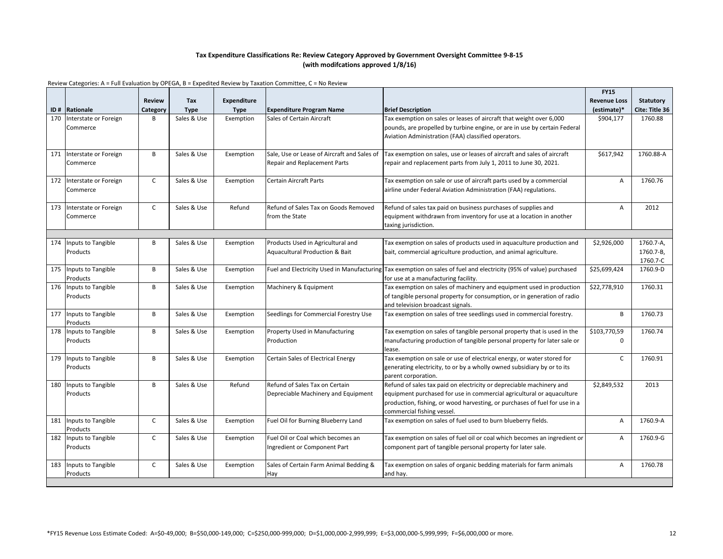|     |                           |               |             |                    |                                                                                |                                                                                                                    | <b>FY15</b>         |                |
|-----|---------------------------|---------------|-------------|--------------------|--------------------------------------------------------------------------------|--------------------------------------------------------------------------------------------------------------------|---------------------|----------------|
|     |                           | <b>Review</b> | Tax         | <b>Expenditure</b> |                                                                                |                                                                                                                    | <b>Revenue Loss</b> | Statutory      |
| ID# | Rationale                 | Category      | <b>Type</b> | <b>Type</b>        | <b>Expenditure Program Name</b>                                                | <b>Brief Description</b>                                                                                           | (estimate)*         | Cite: Title 36 |
| 170 | Interstate or Foreign     | В             | Sales & Use | Exemption          | Sales of Certain Aircraft                                                      | Tax exemption on sales or leases of aircraft that weight over 6,000                                                | \$904,177           | 1760.88        |
|     | Commerce                  |               |             |                    |                                                                                | pounds, are propelled by turbine engine, or are in use by certain Federal                                          |                     |                |
|     |                           |               |             |                    |                                                                                | Aviation Administration (FAA) classified operators.                                                                |                     |                |
|     |                           |               |             |                    |                                                                                |                                                                                                                    |                     |                |
| 171 | Interstate or Foreign     | B             | Sales & Use | Exemption          | Sale, Use or Lease of Aircraft and Sales of                                    | Tax exemption on sales, use or leases of aircraft and sales of aircraft                                            | \$617,942           | 1760.88-A      |
|     | Commerce                  |               |             |                    | <b>Repair and Replacement Parts</b>                                            | repair and replacement parts from July 1, 2011 to June 30, 2021.                                                   |                     |                |
|     |                           |               |             |                    |                                                                                |                                                                                                                    |                     |                |
| 172 | Interstate or Foreign     | $\mathsf{C}$  | Sales & Use | Exemption          | Certain Aircraft Parts                                                         | Tax exemption on sale or use of aircraft parts used by a commercial                                                | A                   | 1760.76        |
|     | Commerce                  |               |             |                    |                                                                                | airline under Federal Aviation Administration (FAA) regulations.                                                   |                     |                |
|     |                           |               |             |                    |                                                                                |                                                                                                                    |                     |                |
| 173 | Interstate or Foreign     | $\mathsf{C}$  | Sales & Use | Refund             | Refund of Sales Tax on Goods Removed                                           | Refund of sales tax paid on business purchases of supplies and                                                     | Α                   | 2012           |
|     | Commerce                  |               |             |                    | from the State                                                                 | equipment withdrawn from inventory for use at a location in another                                                |                     |                |
|     |                           |               |             |                    |                                                                                | taxing jurisdiction.                                                                                               |                     |                |
|     | <b>Inputs to Tangible</b> | B             | Sales & Use |                    |                                                                                |                                                                                                                    |                     | 1760.7-A.      |
| 174 | Products                  |               |             | Exemption          | Products Used in Agricultural and<br><b>Aquacultural Production &amp; Bait</b> | Tax exemption on sales of products used in aquaculture production and                                              | \$2,926,000         | 1760.7-B,      |
|     |                           |               |             |                    |                                                                                | bait, commercial agriculture production, and animal agriculture.                                                   |                     | 1760.7-C       |
| 175 | Inputs to Tangible        | B             | Sales & Use | Exemption          |                                                                                | Fuel and Electricity Used in Manufacturing Tax exemption on sales of fuel and electricity (95% of value) purchased | \$25,699,424        | 1760.9-D       |
|     | Products                  |               |             |                    |                                                                                | for use at a manufacturing facility.                                                                               |                     |                |
| 176 | Inputs to Tangible        | B             | Sales & Use | Exemption          | Machinery & Equipment                                                          | Tax exemption on sales of machinery and equipment used in production                                               | \$22,778,910        | 1760.31        |
|     | Products                  |               |             |                    |                                                                                | of tangible personal property for consumption, or in generation of radio                                           |                     |                |
|     |                           |               |             |                    |                                                                                | and television broadcast signals.                                                                                  |                     |                |
| 177 | Inputs to Tangible        | B             | Sales & Use | Exemption          | Seedlings for Commercial Forestry Use                                          | Tax exemption on sales of tree seedlings used in commercial forestry.                                              | B                   | 1760.73        |
|     | Products                  |               |             |                    |                                                                                |                                                                                                                    |                     |                |
| 178 | Inputs to Tangible        | B             | Sales & Use | Exemption          | Property Used in Manufacturing                                                 | Tax exemption on sales of tangible personal property that is used in the                                           | \$103,770,59        | 1760.74        |
|     | Products                  |               |             |                    | Production                                                                     | manufacturing production of tangible personal property for later sale or                                           | $\mathbf 0$         |                |
|     |                           |               |             |                    |                                                                                | lease.                                                                                                             |                     |                |
| 179 | Inputs to Tangible        | B             | Sales & Use | Exemption          | Certain Sales of Electrical Energy                                             | Tax exemption on sale or use of electrical energy, or water stored for                                             | $\mathsf{C}$        | 1760.91        |
|     | Products                  |               |             |                    |                                                                                | generating electricity, to or by a wholly owned subsidiary by or to its                                            |                     |                |
|     |                           |               |             |                    |                                                                                | parent corporation.                                                                                                |                     |                |
| 180 | Inputs to Tangible        | B             | Sales & Use | Refund             | Refund of Sales Tax on Certain                                                 | Refund of sales tax paid on electricity or depreciable machinery and                                               | \$2,849,532         | 2013           |
|     | Products                  |               |             |                    | Depreciable Machinery and Equipment                                            | equipment purchased for use in commercial agricultural or aquaculture                                              |                     |                |
|     |                           |               |             |                    |                                                                                | production, fishing, or wood harvesting, or purchases of fuel for use in a                                         |                     |                |
|     |                           |               |             |                    |                                                                                | commercial fishing vessel.                                                                                         |                     |                |
| 181 | <b>Inputs to Tangible</b> | $\mathsf{C}$  | Sales & Use | Exemption          | Fuel Oil for Burning Blueberry Land                                            | Tax exemption on sales of fuel used to burn blueberry fields.                                                      | A                   | 1760.9-A       |
|     | Products                  |               |             |                    |                                                                                |                                                                                                                    |                     |                |
| 182 | Inputs to Tangible        | $\mathsf{C}$  | Sales & Use | Exemption          | Fuel Oil or Coal which becomes an                                              | Tax exemption on sales of fuel oil or coal which becomes an ingredient or                                          | A                   | 1760.9-G       |
|     | Products                  |               |             |                    | Ingredient or Component Part                                                   | component part of tangible personal property for later sale.                                                       |                     |                |
|     |                           |               |             |                    |                                                                                |                                                                                                                    |                     |                |
| 183 | Inputs to Tangible        | $\mathsf{C}$  | Sales & Use | Exemption          | Sales of Certain Farm Animal Bedding &                                         | Tax exemption on sales of organic bedding materials for farm animals                                               | A                   | 1760.78        |
|     | Products                  |               |             |                    | Hay                                                                            | and hay.                                                                                                           |                     |                |
|     |                           |               |             |                    |                                                                                |                                                                                                                    |                     |                |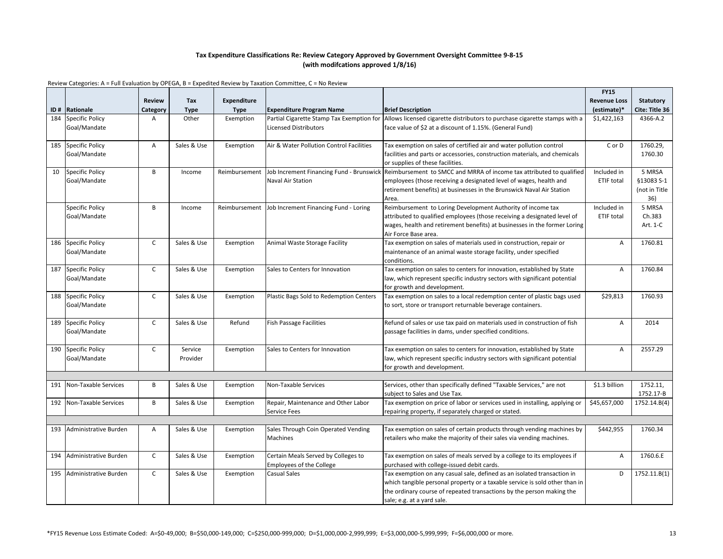|     |                             |                |             |               |                                                     |                                                                                                         | <b>FY15</b>         |                  |
|-----|-----------------------------|----------------|-------------|---------------|-----------------------------------------------------|---------------------------------------------------------------------------------------------------------|---------------------|------------------|
|     |                             | <b>Review</b>  | Tax         | Expenditure   |                                                     |                                                                                                         | <b>Revenue Loss</b> | <b>Statutory</b> |
|     | ID# Rationale               | Category       | <b>Type</b> | <b>Type</b>   | <b>Expenditure Program Name</b>                     | <b>Brief Description</b>                                                                                | (estimate)*         | Cite: Title 36   |
| 184 | <b>Specific Policy</b>      | $\overline{A}$ | Other       | Exemption     | Partial Cigarette Stamp Tax Exemption for           | Allows licensed cigarette distributors to purchase cigarette stamps with a                              | \$1,422,163         | 4366-A.2         |
|     | Goal/Mandate                |                |             |               | <b>Licensed Distributors</b>                        | face value of \$2 at a discount of 1.15%. (General Fund)                                                |                     |                  |
|     |                             |                |             |               |                                                     |                                                                                                         |                     |                  |
| 185 | <b>Specific Policy</b>      | $\overline{A}$ | Sales & Use | Exemption     | Air & Water Pollution Control Facilities            | Tax exemption on sales of certified air and water pollution control                                     | C or D              | 1760.29,         |
|     | Goal/Mandate                |                |             |               |                                                     | facilities and parts or accessories, construction materials, and chemicals                              |                     | 1760.30          |
|     |                             |                |             |               |                                                     | or supplies of these facilities.                                                                        |                     |                  |
| 10  | <b>Specific Policy</b>      | B              | Income      | Reimbursement | Job Increment Financing Fund - Brunswick            | Reimbursement to SMCC and MRRA of income tax attributed to qualified                                    | Included in         | 5 MRSA           |
|     | Goal/Mandate                |                |             |               | Naval Air Station                                   | employees (those receiving a designated level of wages, health and                                      | ETIF total          | §13083 S-1       |
|     |                             |                |             |               |                                                     | retirement benefits) at businesses in the Brunswick Naval Air Station                                   |                     | (not in Title    |
|     |                             |                |             |               |                                                     | Area.                                                                                                   |                     | 36)              |
|     | Specific Policy             | $\overline{B}$ | Income      |               | Reimbursement Job Increment Financing Fund - Loring | Reimbursement to Loring Development Authority of income tax                                             | Included in         | 5 MRSA           |
|     | Goal/Mandate                |                |             |               |                                                     | attributed to qualified employees (those receiving a designated level of                                | ETIF total          | Ch.383           |
|     |                             |                |             |               |                                                     | wages, health and retirement benefits) at businesses in the former Loring                               |                     | Art. 1-C         |
|     |                             |                |             |               |                                                     | Air Force Base area.                                                                                    |                     |                  |
|     | 186 Specific Policy         | $\mathsf{C}$   | Sales & Use | Exemption     | Animal Waste Storage Facility                       | Tax exemption on sales of materials used in construction, repair or                                     | Α                   | 1760.81          |
|     | Goal/Mandate                |                |             |               |                                                     | maintenance of an animal waste storage facility, under specified                                        |                     |                  |
|     |                             | $\mathsf{C}$   |             |               |                                                     | conditions.                                                                                             |                     |                  |
| 187 | <b>Specific Policy</b>      |                | Sales & Use | Exemption     | Sales to Centers for Innovation                     | Tax exemption on sales to centers for innovation, established by State                                  | A                   | 1760.84          |
|     | Goal/Mandate                |                |             |               |                                                     | law, which represent specific industry sectors with significant potential                               |                     |                  |
| 188 | <b>Specific Policy</b>      | $\mathsf{C}$   | Sales & Use | Exemption     | Plastic Bags Sold to Redemption Centers             | for growth and development.<br>Tax exemption on sales to a local redemption center of plastic bags used | \$29,813            | 1760.93          |
|     | Goal/Mandate                |                |             |               |                                                     | to sort, store or transport returnable beverage containers.                                             |                     |                  |
|     |                             |                |             |               |                                                     |                                                                                                         |                     |                  |
| 189 | <b>Specific Policy</b>      | $\mathsf{C}$   | Sales & Use | Refund        | <b>Fish Passage Facilities</b>                      | Refund of sales or use tax paid on materials used in construction of fish                               | A                   | 2014             |
|     | Goal/Mandate                |                |             |               |                                                     | passage facilities in dams, under specified conditions.                                                 |                     |                  |
|     |                             |                |             |               |                                                     |                                                                                                         |                     |                  |
|     | 190 Specific Policy         | $\mathsf{C}$   | Service     | Exemption     | Sales to Centers for Innovation                     | Tax exemption on sales to centers for innovation, established by State                                  | $\overline{A}$      | 2557.29          |
|     | Goal/Mandate                |                | Provider    |               |                                                     | law, which represent specific industry sectors with significant potential                               |                     |                  |
|     |                             |                |             |               |                                                     | for growth and development.                                                                             |                     |                  |
|     |                             |                |             |               |                                                     |                                                                                                         |                     |                  |
| 191 | <b>Non-Taxable Services</b> | B              | Sales & Use | Exemption     | Non-Taxable Services                                | Services, other than specifically defined "Taxable Services," are not                                   | \$1.3 billion       | 1752.11,         |
|     |                             |                |             |               |                                                     | subject to Sales and Use Tax.                                                                           |                     | 1752.17-B        |
| 192 | Non-Taxable Services        | B              | Sales & Use | Exemption     | Repair, Maintenance and Other Labor                 | Tax exemption on price of labor or services used in installing, applying or                             | \$45,657,000        | 1752.14.B(4)     |
|     |                             |                |             |               | <b>Service Fees</b>                                 | repairing property, if separately charged or stated.                                                    |                     |                  |
|     |                             |                |             |               |                                                     |                                                                                                         |                     |                  |
| 193 | Administrative Burden       | $\overline{A}$ | Sales & Use | Exemption     | Sales Through Coin Operated Vending                 | Tax exemption on sales of certain products through vending machines by                                  | \$442,955           | 1760.34          |
|     |                             |                |             |               | <b>Machines</b>                                     | retailers who make the majority of their sales via vending machines.                                    |                     |                  |
|     |                             |                |             |               |                                                     |                                                                                                         |                     |                  |
| 194 | Administrative Burden       | $\mathsf{C}$   | Sales & Use | Exemption     | Certain Meals Served by Colleges to                 | Tax exemption on sales of meals served by a college to its employees if                                 | A                   | 1760.6.E         |
|     |                             |                |             |               | <b>Employees of the College</b>                     | purchased with college-issued debit cards.                                                              |                     |                  |
| 195 | Administrative Burden       | $\mathsf{C}$   | Sales & Use | Exemption     | <b>Casual Sales</b>                                 | Tax exemption on any casual sale, defined as an isolated transaction in                                 | D                   | 1752.11.B(1)     |
|     |                             |                |             |               |                                                     | which tangible personal property or a taxable service is sold other than in                             |                     |                  |
|     |                             |                |             |               |                                                     | the ordinary course of repeated transactions by the person making the<br>sale; e.g. at a yard sale.     |                     |                  |
|     |                             |                |             |               |                                                     |                                                                                                         |                     |                  |